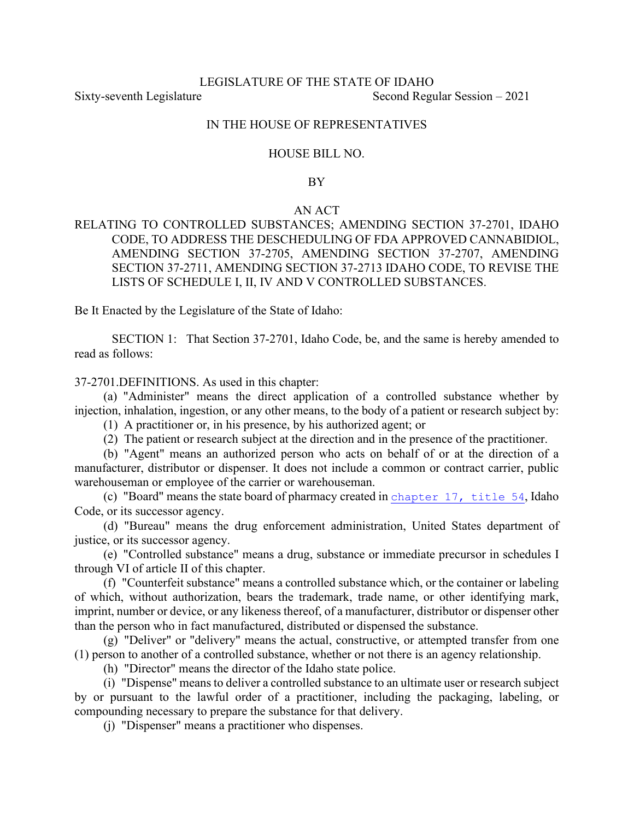## LEGISLATURE OF THE STATE OF IDAHO Sixty-seventh Legislature Second Regular Session – 2021

#### IN THE HOUSE OF REPRESENTATIVES

#### HOUSE BILL NO.

#### BY

#### AN ACT

RELATING TO CONTROLLED SUBSTANCES; AMENDING SECTION 37-2701, IDAHO CODE, TO ADDRESS THE DESCHEDULING OF FDA APPROVED CANNABIDIOL, AMENDING SECTION 37-2705, AMENDING SECTION 37-2707, AMENDING SECTION 37-2711, AMENDING SECTION 37-2713 IDAHO CODE, TO REVISE THE LISTS OF SCHEDULE I, II, IV AND V CONTROLLED SUBSTANCES.

Be It Enacted by the Legislature of the State of Idaho:

SECTION 1: That Section 37-2701, Idaho Code, be, and the same is hereby amended to read as follows:

37-2701.DEFINITIONS. As used in this chapter:

(a) "Administer" means the direct application of a controlled substance whether by injection, inhalation, ingestion, or any other means, to the body of a patient or research subject by:

(1) A practitioner or, in his presence, by his authorized agent; or

(2) The patient or research subject at the direction and in the presence of the practitioner.

(b) "Agent" means an authorized person who acts on behalf of or at the direction of a manufacturer, distributor or dispenser. It does not include a common or contract carrier, public warehouseman or employee of the carrier or warehouseman.

(c) "Board" means the state board of pharmacy created in [chapter 17, title 54](https://legislature.idaho.gov/statutesrules/idstat/Title54/T54CH17), Idaho Code, or its successor agency.

(d) "Bureau" means the drug enforcement administration, United States department of justice, or its successor agency.

(e) "Controlled substance" means a drug, substance or immediate precursor in schedules I through VI of article II of this chapter.

(f) "Counterfeit substance" means a controlled substance which, or the container or labeling of which, without authorization, bears the trademark, trade name, or other identifying mark, imprint, number or device, or any likeness thereof, of a manufacturer, distributor or dispenser other than the person who in fact manufactured, distributed or dispensed the substance.

(g) "Deliver" or "delivery" means the actual, constructive, or attempted transfer from one (1) person to another of a controlled substance, whether or not there is an agency relationship.

(h) "Director" means the director of the Idaho state police.

(i) "Dispense" means to deliver a controlled substance to an ultimate user or research subject by or pursuant to the lawful order of a practitioner, including the packaging, labeling, or compounding necessary to prepare the substance for that delivery.

(j) "Dispenser" means a practitioner who dispenses.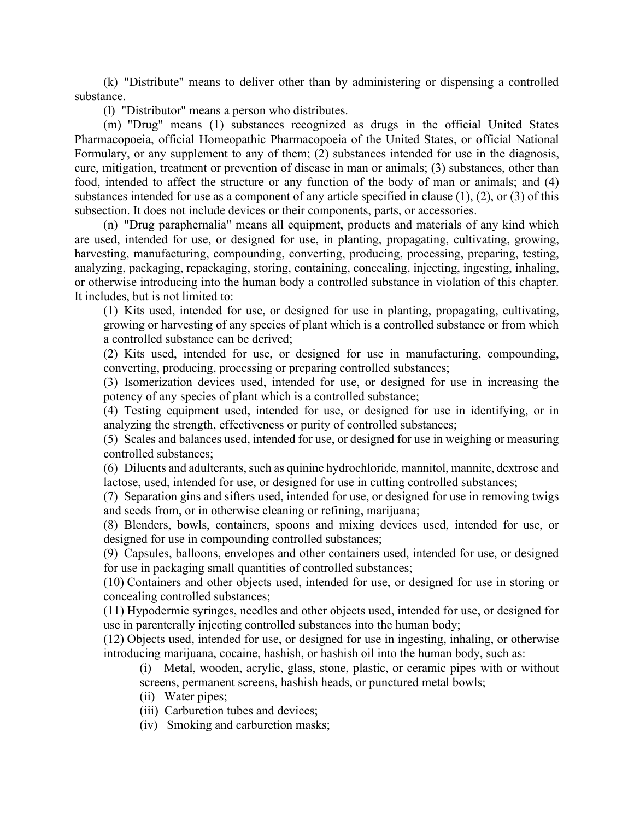(k) "Distribute" means to deliver other than by administering or dispensing a controlled substance.

(l) "Distributor" means a person who distributes.

(m) "Drug" means (1) substances recognized as drugs in the official United States Pharmacopoeia, official Homeopathic Pharmacopoeia of the United States, or official National Formulary, or any supplement to any of them; (2) substances intended for use in the diagnosis, cure, mitigation, treatment or prevention of disease in man or animals; (3) substances, other than food, intended to affect the structure or any function of the body of man or animals; and (4) substances intended for use as a component of any article specified in clause (1), (2), or (3) of this subsection. It does not include devices or their components, parts, or accessories.

(n) "Drug paraphernalia" means all equipment, products and materials of any kind which are used, intended for use, or designed for use, in planting, propagating, cultivating, growing, harvesting, manufacturing, compounding, converting, producing, processing, preparing, testing, analyzing, packaging, repackaging, storing, containing, concealing, injecting, ingesting, inhaling, or otherwise introducing into the human body a controlled substance in violation of this chapter. It includes, but is not limited to:

(1) Kits used, intended for use, or designed for use in planting, propagating, cultivating, growing or harvesting of any species of plant which is a controlled substance or from which a controlled substance can be derived;

(2) Kits used, intended for use, or designed for use in manufacturing, compounding, converting, producing, processing or preparing controlled substances;

(3) Isomerization devices used, intended for use, or designed for use in increasing the potency of any species of plant which is a controlled substance;

(4) Testing equipment used, intended for use, or designed for use in identifying, or in analyzing the strength, effectiveness or purity of controlled substances;

(5) Scales and balances used, intended for use, or designed for use in weighing or measuring controlled substances;

(6) Diluents and adulterants, such as quinine hydrochloride, mannitol, mannite, dextrose and lactose, used, intended for use, or designed for use in cutting controlled substances;

(7) Separation gins and sifters used, intended for use, or designed for use in removing twigs and seeds from, or in otherwise cleaning or refining, marijuana;

(8) Blenders, bowls, containers, spoons and mixing devices used, intended for use, or designed for use in compounding controlled substances;

(9) Capsules, balloons, envelopes and other containers used, intended for use, or designed for use in packaging small quantities of controlled substances;

(10) Containers and other objects used, intended for use, or designed for use in storing or concealing controlled substances;

(11) Hypodermic syringes, needles and other objects used, intended for use, or designed for use in parenterally injecting controlled substances into the human body;

(12) Objects used, intended for use, or designed for use in ingesting, inhaling, or otherwise introducing marijuana, cocaine, hashish, or hashish oil into the human body, such as:

(i) Metal, wooden, acrylic, glass, stone, plastic, or ceramic pipes with or without screens, permanent screens, hashish heads, or punctured metal bowls;

- (ii) Water pipes;
- (iii) Carburetion tubes and devices;
- (iv) Smoking and carburetion masks;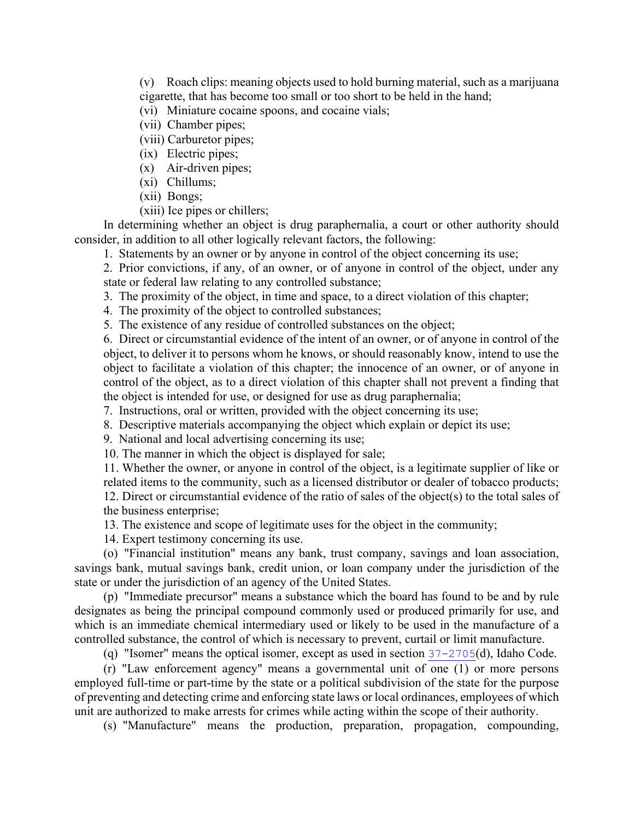(v) Roach clips: meaning objects used to hold burning material, such as a marijuana cigarette, that has become too small or too short to be held in the hand;

(vi) Miniature cocaine spoons, and cocaine vials;

- (vii) Chamber pipes;
- (viii) Carburetor pipes;
- (ix) Electric pipes;
- (x) Air-driven pipes;
- (xi) Chillums;
- (xii) Bongs;
- (xiii) Ice pipes or chillers;

In determining whether an object is drug paraphernalia, a court or other authority should consider, in addition to all other logically relevant factors, the following:

1. Statements by an owner or by anyone in control of the object concerning its use;

2. Prior convictions, if any, of an owner, or of anyone in control of the object, under any state or federal law relating to any controlled substance;

3. The proximity of the object, in time and space, to a direct violation of this chapter;

4. The proximity of the object to controlled substances;

5. The existence of any residue of controlled substances on the object;

6. Direct or circumstantial evidence of the intent of an owner, or of anyone in control of the object, to deliver it to persons whom he knows, or should reasonably know, intend to use the object to facilitate a violation of this chapter; the innocence of an owner, or of anyone in control of the object, as to a direct violation of this chapter shall not prevent a finding that the object is intended for use, or designed for use as drug paraphernalia;

7. Instructions, oral or written, provided with the object concerning its use;

8. Descriptive materials accompanying the object which explain or depict its use;

9. National and local advertising concerning its use;

10. The manner in which the object is displayed for sale;

11. Whether the owner, or anyone in control of the object, is a legitimate supplier of like or related items to the community, such as a licensed distributor or dealer of tobacco products;

12. Direct or circumstantial evidence of the ratio of sales of the object(s) to the total sales of the business enterprise;

13. The existence and scope of legitimate uses for the object in the community;

14. Expert testimony concerning its use.

(o) "Financial institution" means any bank, trust company, savings and loan association, savings bank, mutual savings bank, credit union, or loan company under the jurisdiction of the state or under the jurisdiction of an agency of the United States.

(p) "Immediate precursor" means a substance which the board has found to be and by rule designates as being the principal compound commonly used or produced primarily for use, and which is an immediate chemical intermediary used or likely to be used in the manufacture of a controlled substance, the control of which is necessary to prevent, curtail or limit manufacture.

(q) "Isomer" means the optical isomer, except as used in section  $37-2705(d)$  $37-2705(d)$ , Idaho Code.

(r) "Law enforcement agency" means a governmental unit of one (1) or more persons employed full-time or part-time by the state or a political subdivision of the state for the purpose of preventing and detecting crime and enforcing state laws or local ordinances, employees of which unit are authorized to make arrests for crimes while acting within the scope of their authority.

(s) "Manufacture" means the production, preparation, propagation, compounding,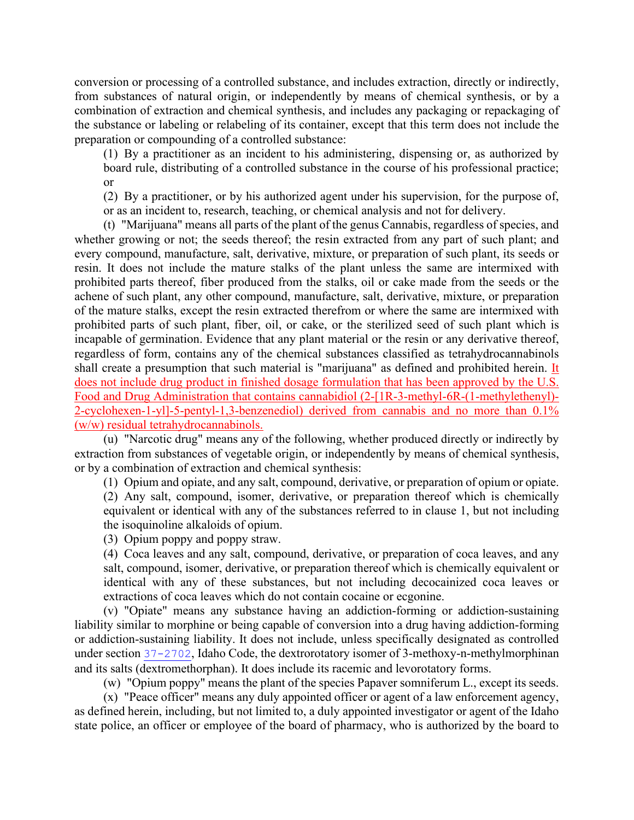conversion or processing of a controlled substance, and includes extraction, directly or indirectly, from substances of natural origin, or independently by means of chemical synthesis, or by a combination of extraction and chemical synthesis, and includes any packaging or repackaging of the substance or labeling or relabeling of its container, except that this term does not include the preparation or compounding of a controlled substance:

(1) By a practitioner as an incident to his administering, dispensing or, as authorized by board rule, distributing of a controlled substance in the course of his professional practice; or

(2) By a practitioner, or by his authorized agent under his supervision, for the purpose of, or as an incident to, research, teaching, or chemical analysis and not for delivery.

(t) "Marijuana" means all parts of the plant of the genus Cannabis, regardless of species, and whether growing or not; the seeds thereof; the resin extracted from any part of such plant; and every compound, manufacture, salt, derivative, mixture, or preparation of such plant, its seeds or resin. It does not include the mature stalks of the plant unless the same are intermixed with prohibited parts thereof, fiber produced from the stalks, oil or cake made from the seeds or the achene of such plant, any other compound, manufacture, salt, derivative, mixture, or preparation of the mature stalks, except the resin extracted therefrom or where the same are intermixed with prohibited parts of such plant, fiber, oil, or cake, or the sterilized seed of such plant which is incapable of germination. Evidence that any plant material or the resin or any derivative thereof, regardless of form, contains any of the chemical substances classified as tetrahydrocannabinols shall create a presumption that such material is "marijuana" as defined and prohibited herein. It does not include drug product in finished dosage formulation that has been approved by the U.S. Food and Drug Administration that contains cannabidiol (2-[1R-3-methyl-6R-(1-methylethenyl)- 2-cyclohexen-1-yl]-5-pentyl-1,3-benzenediol) derived from cannabis and no more than 0.1% (w/w) residual tetrahydrocannabinols.

(u) "Narcotic drug" means any of the following, whether produced directly or indirectly by extraction from substances of vegetable origin, or independently by means of chemical synthesis, or by a combination of extraction and chemical synthesis:

(1) Opium and opiate, and any salt, compound, derivative, or preparation of opium or opiate.

(2) Any salt, compound, isomer, derivative, or preparation thereof which is chemically equivalent or identical with any of the substances referred to in clause 1, but not including the isoquinoline alkaloids of opium.

(3) Opium poppy and poppy straw.

(4) Coca leaves and any salt, compound, derivative, or preparation of coca leaves, and any salt, compound, isomer, derivative, or preparation thereof which is chemically equivalent or identical with any of these substances, but not including decocainized coca leaves or extractions of coca leaves which do not contain cocaine or ecgonine.

(v) "Opiate" means any substance having an addiction-forming or addiction-sustaining liability similar to morphine or being capable of conversion into a drug having addiction-forming or addiction-sustaining liability. It does not include, unless specifically designated as controlled under section [37-2702](https://legislature.idaho.gov/statutesrules/idstat/Title37/T37CH27SECT37-2702), Idaho Code, the dextrorotatory isomer of 3-methoxy-n-methylmorphinan and its salts (dextromethorphan). It does include its racemic and levorotatory forms.

(w) "Opium poppy" means the plant of the species Papaver somniferum L., except its seeds.

(x) "Peace officer" means any duly appointed officer or agent of a law enforcement agency, as defined herein, including, but not limited to, a duly appointed investigator or agent of the Idaho state police, an officer or employee of the board of pharmacy, who is authorized by the board to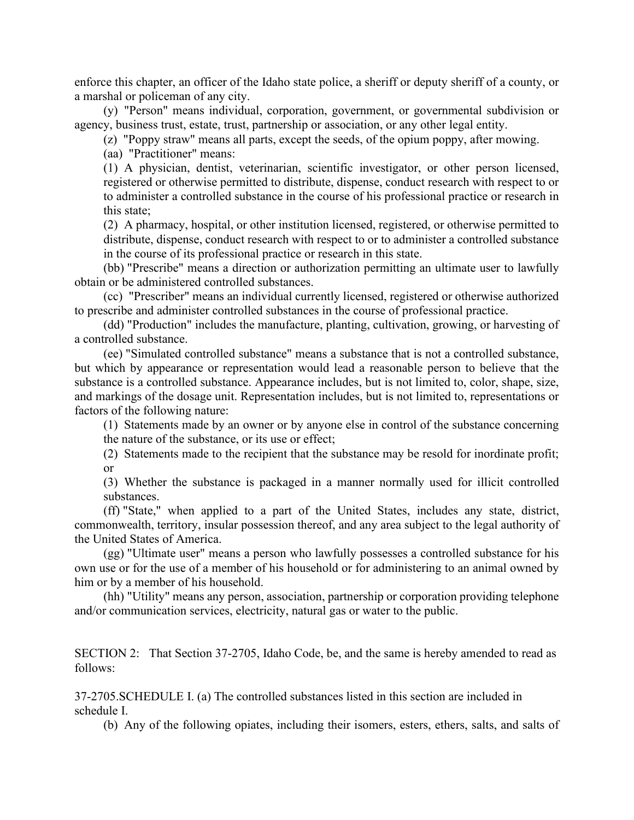enforce this chapter, an officer of the Idaho state police, a sheriff or deputy sheriff of a county, or a marshal or policeman of any city.

(y) "Person" means individual, corporation, government, or governmental subdivision or agency, business trust, estate, trust, partnership or association, or any other legal entity.

(z) "Poppy straw" means all parts, except the seeds, of the opium poppy, after mowing.

(aa) "Practitioner" means:

(1) A physician, dentist, veterinarian, scientific investigator, or other person licensed, registered or otherwise permitted to distribute, dispense, conduct research with respect to or to administer a controlled substance in the course of his professional practice or research in this state;

(2) A pharmacy, hospital, or other institution licensed, registered, or otherwise permitted to distribute, dispense, conduct research with respect to or to administer a controlled substance in the course of its professional practice or research in this state.

(bb) "Prescribe" means a direction or authorization permitting an ultimate user to lawfully obtain or be administered controlled substances.

(cc) "Prescriber" means an individual currently licensed, registered or otherwise authorized to prescribe and administer controlled substances in the course of professional practice.

(dd) "Production" includes the manufacture, planting, cultivation, growing, or harvesting of a controlled substance.

(ee) "Simulated controlled substance" means a substance that is not a controlled substance, but which by appearance or representation would lead a reasonable person to believe that the substance is a controlled substance. Appearance includes, but is not limited to, color, shape, size, and markings of the dosage unit. Representation includes, but is not limited to, representations or factors of the following nature:

(1) Statements made by an owner or by anyone else in control of the substance concerning the nature of the substance, or its use or effect;

(2) Statements made to the recipient that the substance may be resold for inordinate profit; or

(3) Whether the substance is packaged in a manner normally used for illicit controlled substances.

(ff) "State," when applied to a part of the United States, includes any state, district, commonwealth, territory, insular possession thereof, and any area subject to the legal authority of the United States of America.

(gg) "Ultimate user" means a person who lawfully possesses a controlled substance for his own use or for the use of a member of his household or for administering to an animal owned by him or by a member of his household.

(hh) "Utility" means any person, association, partnership or corporation providing telephone and/or communication services, electricity, natural gas or water to the public.

SECTION 2: That Section 37-2705, Idaho Code, be, and the same is hereby amended to read as follows:

37-2705.SCHEDULE I. (a) The controlled substances listed in this section are included in schedule I.

(b) Any of the following opiates, including their isomers, esters, ethers, salts, and salts of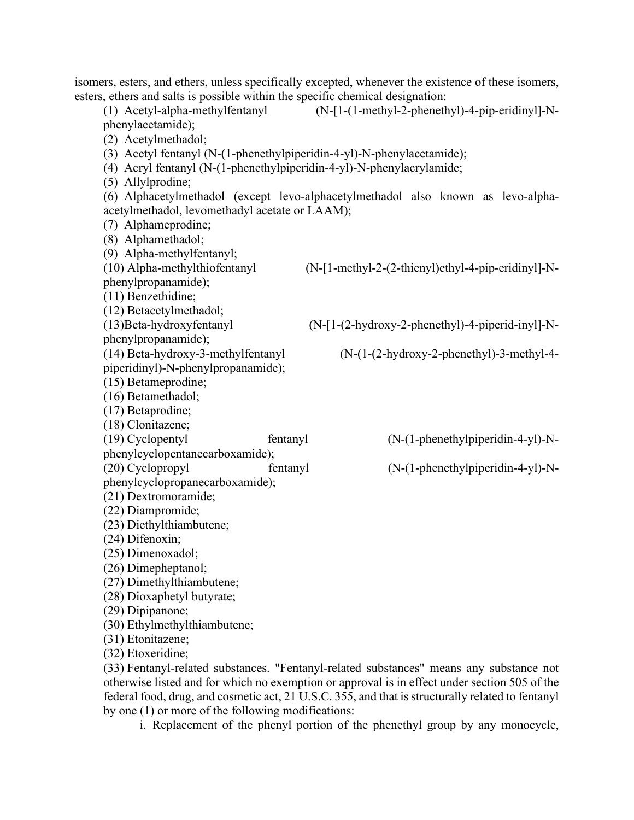isomers, esters, and ethers, unless specifically excepted, whenever the existence of these isomers, esters, ethers and salts is possible within the specific chemical designation: (1) Acetyl-alpha-methylfentanyl (N-[1-(1-methyl-2-phenethyl)-4-pip-eridinyl]-Nphenylacetamide); (2) Acetylmethadol; (3) Acetyl fentanyl (N-(1-phenethylpiperidin-4-yl)-N-phenylacetamide); (4) Acryl fentanyl (N-(1-phenethylpiperidin-4-yl)-N-phenylacrylamide; (5) Allylprodine; (6) Alphacetylmethadol (except levo-alphacetylmethadol also known as levo-alphaacetylmethadol, levomethadyl acetate or LAAM); (7) Alphameprodine; (8) Alphamethadol; (9) Alpha-methylfentanyl; (10) Alpha-methylthiofentanyl (N-[1-methyl-2-(2-thienyl)ethyl-4-pip-eridinyl]-Nphenylpropanamide); (11) Benzethidine; (12) Betacetylmethadol; (13)Beta-hydroxyfentanyl (N-[1-(2-hydroxy-2-phenethyl)-4-piperid-inyl]-Nphenylpropanamide); (14) Beta-hydroxy-3-methylfentanyl (N-(1-(2-hydroxy-2-phenethyl)-3-methyl-4 piperidinyl)-N-phenylpropanamide); (15) Betameprodine; (16) Betamethadol; (17) Betaprodine; (18) Clonitazene; (19) Cyclopentyl fentanyl (N-(1-phenethylpiperidin-4-yl)-Nphenylcyclopentanecarboxamide); (20) Cyclopropyl fentanyl (N-(1-phenethylpiperidin-4-yl)-Nphenylcyclopropanecarboxamide); (21) Dextromoramide; (22) Diampromide; (23) Diethylthiambutene; (24) Difenoxin; (25) Dimenoxadol; (26) Dimepheptanol; (27) Dimethylthiambutene; (28) Dioxaphetyl butyrate; (29) Dipipanone; (30) Ethylmethylthiambutene; (31) Etonitazene; (32) Etoxeridine; (33) Fentanyl-related substances. "Fentanyl-related substances" means any substance not otherwise listed and for which no exemption or approval is in effect under section 505 of the federal food, drug, and cosmetic act, 21 U.S.C. 355, and that is structurally related to fentanyl

by one (1) or more of the following modifications:

i. Replacement of the phenyl portion of the phenethyl group by any monocycle,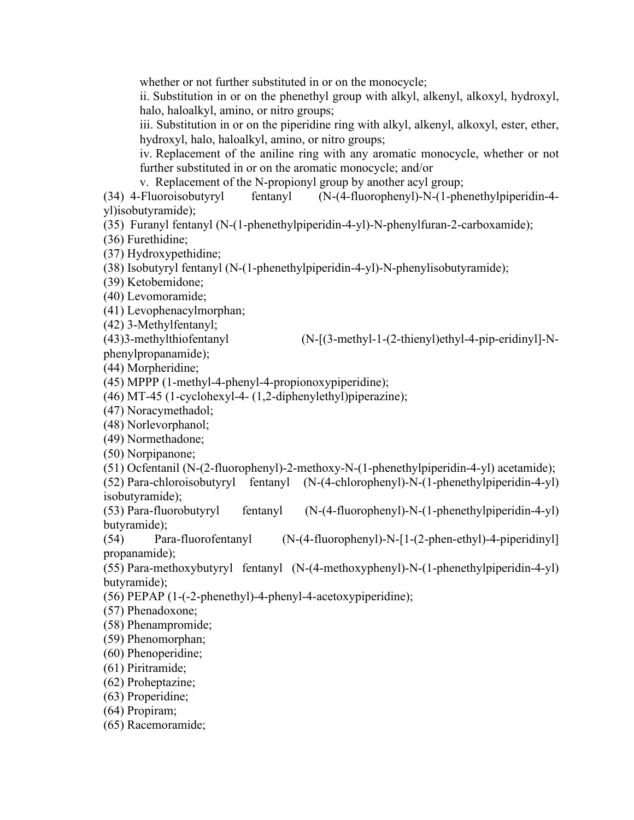whether or not further substituted in or on the monocycle;

ii. Substitution in or on the phenethyl group with alkyl, alkenyl, alkoxyl, hydroxyl, halo, haloalkyl, amino, or nitro groups;

iii. Substitution in or on the piperidine ring with alkyl, alkenyl, alkoxyl, ester, ether, hydroxyl, halo, haloalkyl, amino, or nitro groups;

iv. Replacement of the aniline ring with any aromatic monocycle, whether or not further substituted in or on the aromatic monocycle; and/or

v. Replacement of the N-propionyl group by another acyl group;

(34) 4-Fluoroisobutyryl fentanyl (N-(4-fluorophenyl)-N-(1-phenethylpiperidin-4 yl)isobutyramide);

(35) Furanyl fentanyl (N-(1-phenethylpiperidin-4-yl)-N-phenylfuran-2-carboxamide);

(36) Furethidine;

(37) Hydroxypethidine;

(38) Isobutyryl fentanyl (N-(1-phenethylpiperidin-4-yl)-N-phenylisobutyramide);

(39) Ketobemidone;

(40) Levomoramide;

(41) Levophenacylmorphan;

(42) 3-Methylfentanyl;

(43)3-methylthiofentanyl (N-[(3-methyl-1-(2-thienyl)ethyl-4-pip-eridinyl]-Nphenylpropanamide);

(44) Morpheridine;

(45) MPPP (1-methyl-4-phenyl-4-propionoxypiperidine);

(46) MT-45 (1-cyclohexyl-4- (1,2-diphenylethyl)piperazine);

(47) Noracymethadol;

(48) Norlevorphanol;

(49) Normethadone;

(50) Norpipanone;

(51) Ocfentanil (N-(2-fluorophenyl)-2-methoxy-N-(1-phenethylpiperidin-4-yl) acetamide);

(52) Para-chloroisobutyryl fentanyl (N-(4-chlorophenyl)-N-(1-phenethylpiperidin-4-yl) isobutyramide);

(53) Para-fluorobutyryl fentanyl (N-(4-fluorophenyl)-N-(1-phenethylpiperidin-4-yl) butyramide);

(54) Para-fluorofentanyl (N-(4-fluorophenyl)-N-[1-(2-phen-ethyl)-4-piperidinyl] propanamide);

(55) Para-methoxybutyryl fentanyl (N-(4-methoxyphenyl)-N-(1-phenethylpiperidin-4-yl) butyramide);

(56) PEPAP (1-(-2-phenethyl)-4-phenyl-4-acetoxypiperidine);

(57) Phenadoxone;

(58) Phenampromide;

(59) Phenomorphan;

(60) Phenoperidine;

(61) Piritramide;

(62) Proheptazine;

(63) Properidine;

(64) Propiram;

(65) Racemoramide;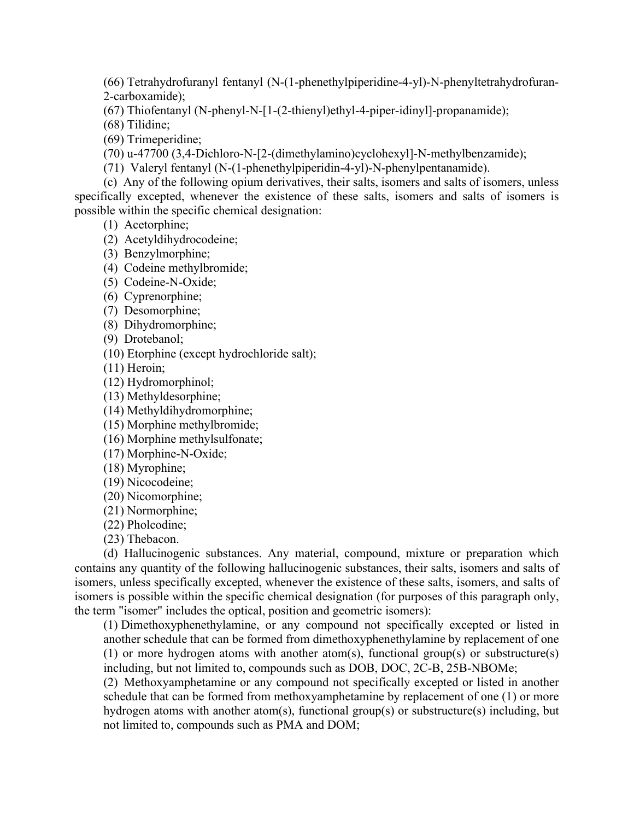(66) Tetrahydrofuranyl fentanyl (N-(1-phenethylpiperidine-4-yl)-N-phenyltetrahydrofuran-2-carboxamide);

(67) Thiofentanyl (N-phenyl-N-[1-(2-thienyl)ethyl-4-piper-idinyl]-propanamide);

(68) Tilidine;

(69) Trimeperidine;

(70) u-47700 (3,4-Dichloro-N-[2-(dimethylamino)cyclohexyl]-N-methylbenzamide);

(71) Valeryl fentanyl (N-(1-phenethylpiperidin-4-yl)-N-phenylpentanamide).

(c) Any of the following opium derivatives, their salts, isomers and salts of isomers, unless specifically excepted, whenever the existence of these salts, isomers and salts of isomers is possible within the specific chemical designation:

(1) Acetorphine;

(2) Acetyldihydrocodeine;

(3) Benzylmorphine;

(4) Codeine methylbromide;

(5) Codeine-N-Oxide;

(6) Cyprenorphine;

(7) Desomorphine;

(8) Dihydromorphine;

(9) Drotebanol;

(10) Etorphine (except hydrochloride salt);

(11) Heroin;

(12) Hydromorphinol;

(13) Methyldesorphine;

(14) Methyldihydromorphine;

(15) Morphine methylbromide;

(16) Morphine methylsulfonate;

(17) Morphine-N-Oxide;

(18) Myrophine;

(19) Nicocodeine;

(20) Nicomorphine;

(21) Normorphine;

(22) Pholcodine;

(23) Thebacon.

(d) Hallucinogenic substances. Any material, compound, mixture or preparation which contains any quantity of the following hallucinogenic substances, their salts, isomers and salts of isomers, unless specifically excepted, whenever the existence of these salts, isomers, and salts of isomers is possible within the specific chemical designation (for purposes of this paragraph only, the term "isomer" includes the optical, position and geometric isomers):

(1) Dimethoxyphenethylamine, or any compound not specifically excepted or listed in another schedule that can be formed from dimethoxyphenethylamine by replacement of one (1) or more hydrogen atoms with another atom(s), functional group(s) or substructure(s) including, but not limited to, compounds such as DOB, DOC, 2C-B, 25B-NBOMe;

(2) Methoxyamphetamine or any compound not specifically excepted or listed in another schedule that can be formed from methoxyamphetamine by replacement of one (1) or more hydrogen atoms with another atom(s), functional group(s) or substructure(s) including, but not limited to, compounds such as PMA and DOM;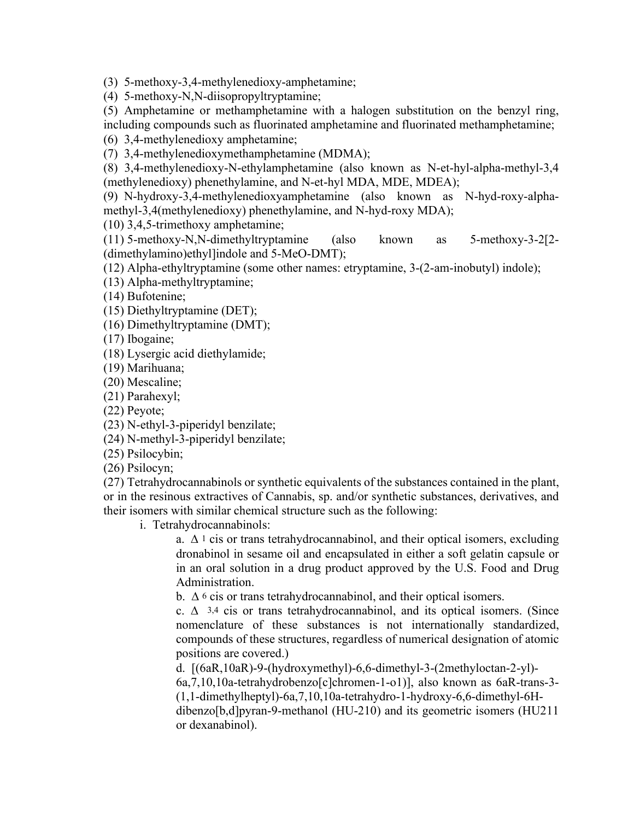(3) 5-methoxy-3,4-methylenedioxy-amphetamine;

(4) 5-methoxy-N,N-diisopropyltryptamine;

(5) Amphetamine or methamphetamine with a halogen substitution on the benzyl ring, including compounds such as fluorinated amphetamine and fluorinated methamphetamine;

(6) 3,4-methylenedioxy amphetamine;

(7) 3,4-methylenedioxymethamphetamine (MDMA);

(8) 3,4-methylenedioxy-N-ethylamphetamine (also known as N-et-hyl-alpha-methyl-3,4 (methylenedioxy) phenethylamine, and N-et-hyl MDA, MDE, MDEA);

(9) N-hydroxy-3,4-methylenedioxyamphetamine (also known as N-hyd-roxy-alphamethyl-3,4(methylenedioxy) phenethylamine, and N-hyd-roxy MDA);

(10) 3,4,5-trimethoxy amphetamine;

(11) 5-methoxy-N,N-dimethyltryptamine (also known as 5-methoxy-3-2[2- (dimethylamino)ethyl]indole and 5-MeO-DMT);

(12) Alpha-ethyltryptamine (some other names: etryptamine, 3-(2-am-inobutyl) indole);

(13) Alpha-methyltryptamine;

(14) Bufotenine;

(15) Diethyltryptamine (DET);

(16) Dimethyltryptamine (DMT);

(17) Ibogaine;

(18) Lysergic acid diethylamide;

(19) Marihuana;

(20) Mescaline;

(21) Parahexyl;

(22) Peyote;

(23) N-ethyl-3-piperidyl benzilate;

(24) N-methyl-3-piperidyl benzilate;

(25) Psilocybin;

(26) Psilocyn;

(27) Tetrahydrocannabinols or synthetic equivalents of the substances contained in the plant, or in the resinous extractives of Cannabis, sp. and/or synthetic substances, derivatives, and their isomers with similar chemical structure such as the following:

i. Tetrahydrocannabinols:

a.  $\Delta$ <sup>1</sup> cis or trans tetrahydrocannabinol, and their optical isomers, excluding dronabinol in sesame oil and encapsulated in either a soft gelatin capsule or in an oral solution in a drug product approved by the U.S. Food and Drug Administration.

b. ∆ 6 cis or trans tetrahydrocannabinol, and their optical isomers.

c. ∆ 3,4 cis or trans tetrahydrocannabinol, and its optical isomers. (Since nomenclature of these substances is not internationally standardized, compounds of these structures, regardless of numerical designation of atomic positions are covered.)

d. [(6aR,10aR)-9-(hydroxymethyl)-6,6-dimethyl-3-(2methyloctan-2-yl)-

6a,7,10,10a-tetrahydrobenzo[c]chromen-1-o1)], also known as 6aR-trans-3- (1,1-dimethylheptyl)-6a,7,10,10a-tetrahydro-1-hydroxy-6,6-dimethyl-6H-

dibenzo[b,d]pyran-9-methanol (HU-210) and its geometric isomers (HU211 or dexanabinol).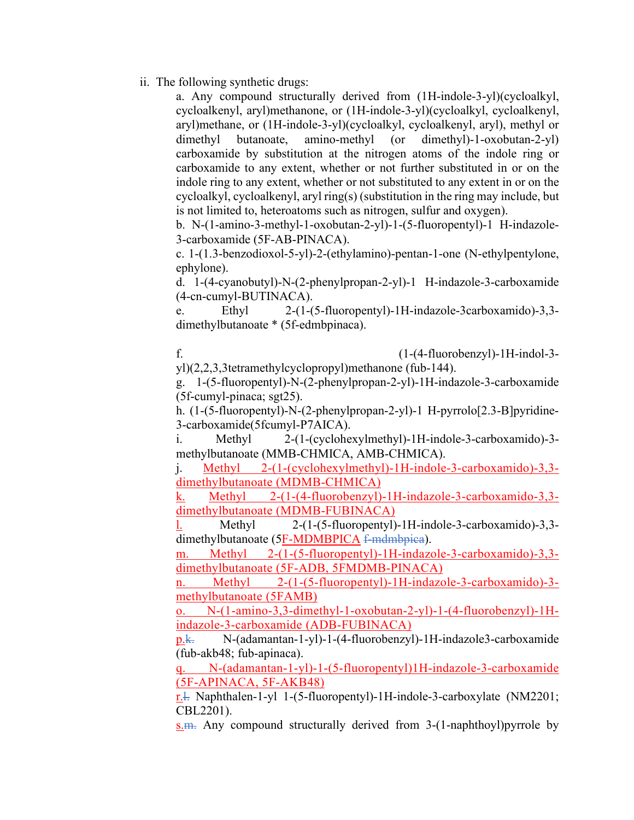ii. The following synthetic drugs:

a. Any compound structurally derived from (1H-indole-3-yl)(cycloalkyl, cycloalkenyl, aryl)methanone, or (1H-indole-3-yl)(cycloalkyl, cycloalkenyl, aryl)methane, or (1H-indole-3-yl)(cycloalkyl, cycloalkenyl, aryl), methyl or dimethyl butanoate, amino-methyl (or dimethyl)-1-oxobutan-2-yl) carboxamide by substitution at the nitrogen atoms of the indole ring or carboxamide to any extent, whether or not further substituted in or on the indole ring to any extent, whether or not substituted to any extent in or on the cycloalkyl, cycloalkenyl, aryl ring(s) (substitution in the ring may include, but is not limited to, heteroatoms such as nitrogen, sulfur and oxygen).

b. N-(1-amino-3-methyl-1-oxobutan-2-yl)-1-(5-fluoropentyl)-1 H-indazole-3-carboxamide (5F-AB-PINACA).

c. 1-(1.3-benzodioxol-5-yl)-2-(ethylamino)-pentan-1-one (N-ethylpentylone, ephylone).

d. 1-(4-cyanobutyl)-N-(2-phenylpropan-2-yl)-1 H-indazole-3-carboxamide (4-cn-cumyl-BUTINACA).

e. Ethyl 2-(1-(5-fluoropentyl)-1H-indazole-3carboxamido)-3,3 dimethylbutanoate \* (5f-edmbpinaca).

f. (1-(4-fluorobenzyl)-1H-indol-3-

yl)(2,2,3,3tetramethylcyclopropyl)methanone (fub-144).

g. 1-(5-fluoropentyl)-N-(2-phenylpropan-2-yl)-1H-indazole-3-carboxamide (5f-cumyl-pinaca; sgt25).

h. (1-(5-fluoropentyl)-N-(2-phenylpropan-2-yl)-1 H-pyrrolo[2.3-B]pyridine-3-carboxamide(5fcumyl-P7AICA).

i. Methyl 2-(1-(cyclohexylmethyl)-1H-indole-3-carboxamido)-3 methylbutanoate (MMB-CHMICA, AMB-CHMICA).

j. Methyl 2-(1-(cyclohexylmethyl)-1H-indole-3-carboxamido)-3,3 dimethylbutanoate (MDMB-CHMICA)

k. Methyl 2-(1-(4-fluorobenzyl)-1H-indazole-3-carboxamido-3,3 dimethylbutanoate (MDMB-FUBINACA)

l. Methyl 2-(1-(5-fluoropentyl)-1H-indole-3-carboxamido)-3,3 dimethylbutanoate (5F-MDMBPICA f-mdmbpica).

m. Methyl 2-(1-(5-fluoropentyl)-1H-indazole-3-carboxamido)-3,3 dimethylbutanoate (5F-ADB, 5FMDMB-PINACA)

n. Methyl 2-(1-(5-fluoropentyl)-1H-indazole-3-carboxamido)-3 methylbutanoate (5FAMB)

o. N-(1-amino-3,3-dimethyl-1-oxobutan-2-yl)-1-(4-fluorobenzyl)-1Hindazole-3-carboxamide (ADB-FUBINACA)

p.k. N-(adamantan-1-yl)-1-(4-fluorobenzyl)-1H-indazole3-carboxamide (fub-akb48; fub-apinaca).

q. N-(adamantan-1-yl)-1-(5-fluoropentyl)1H-indazole-3-carboxamide (5F-APINACA, 5F-AKB48)

r.l. Naphthalen-1-yl 1-(5-fluoropentyl)-1H-indole-3-carboxylate (NM2201; CBL2201).

 $s.m.$  Any compound structurally derived from 3-(1-naphthoyl) pyrrole by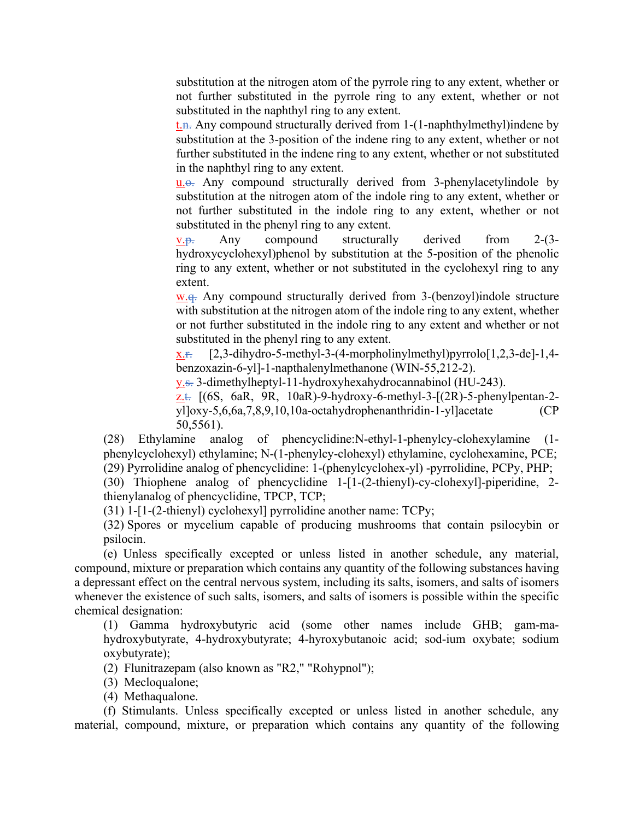substitution at the nitrogen atom of the pyrrole ring to any extent, whether or not further substituted in the pyrrole ring to any extent, whether or not substituted in the naphthyl ring to any extent.

 $t_{\text{th}}$ . Any compound structurally derived from 1-(1-naphthylmethyl) indene by substitution at the 3-position of the indene ring to any extent, whether or not further substituted in the indene ring to any extent, whether or not substituted in the naphthyl ring to any extent.

u.o. Any compound structurally derived from 3-phenylacetylindole by substitution at the nitrogen atom of the indole ring to any extent, whether or not further substituted in the indole ring to any extent, whether or not substituted in the phenyl ring to any extent.

 $v.\overline{v}$ . Any compound structurally derived from 2-(3hydroxycyclohexyl)phenol by substitution at the 5-position of the phenolic ring to any extent, whether or not substituted in the cyclohexyl ring to any extent.

w.g. Any compound structurally derived from 3-(benzoyl) indole structure with substitution at the nitrogen atom of the indole ring to any extent, whether or not further substituted in the indole ring to any extent and whether or not substituted in the phenyl ring to any extent.

 $x_{\text{...}}$  [2,3-dihydro-5-methyl-3-(4-morpholinylmethyl)pyrrolo[1,2,3-de]-1,4benzoxazin-6-yl]-1-napthalenylmethanone (WIN-55,212-2).

y.s. 3-dimethylheptyl-11-hydroxyhexahydrocannabinol (HU-243).

z.t.  $[(6S, 6aR, 9R, 10aR)-9-hydroxy-6-methyl-3-[(2R)-5-phenylpentan-2$ yl]oxy-5,6,6a,7,8,9,10,10a-octahydrophenanthridin-1-yl]acetate (CP 50,5561).

(28) Ethylamine analog of phencyclidine:N-ethyl-1-phenylcy-clohexylamine (1 phenylcyclohexyl) ethylamine; N-(1-phenylcy-clohexyl) ethylamine, cyclohexamine, PCE; (29) Pyrrolidine analog of phencyclidine: 1-(phenylcyclohex-yl) -pyrrolidine, PCPy, PHP;

(30) Thiophene analog of phencyclidine 1-[1-(2-thienyl)-cy-clohexyl]-piperidine, 2 thienylanalog of phencyclidine, TPCP, TCP;

(31) 1-[1-(2-thienyl) cyclohexyl] pyrrolidine another name: TCPy;

(32) Spores or mycelium capable of producing mushrooms that contain psilocybin or psilocin.

(e) Unless specifically excepted or unless listed in another schedule, any material, compound, mixture or preparation which contains any quantity of the following substances having a depressant effect on the central nervous system, including its salts, isomers, and salts of isomers whenever the existence of such salts, isomers, and salts of isomers is possible within the specific chemical designation:

(1) Gamma hydroxybutyric acid (some other names include GHB; gam-mahydroxybutyrate, 4-hydroxybutyrate; 4-hyroxybutanoic acid; sod-ium oxybate; sodium oxybutyrate);

(2) Flunitrazepam (also known as "R2," "Rohypnol");

(3) Mecloqualone;

(4) Methaqualone.

(f) Stimulants. Unless specifically excepted or unless listed in another schedule, any material, compound, mixture, or preparation which contains any quantity of the following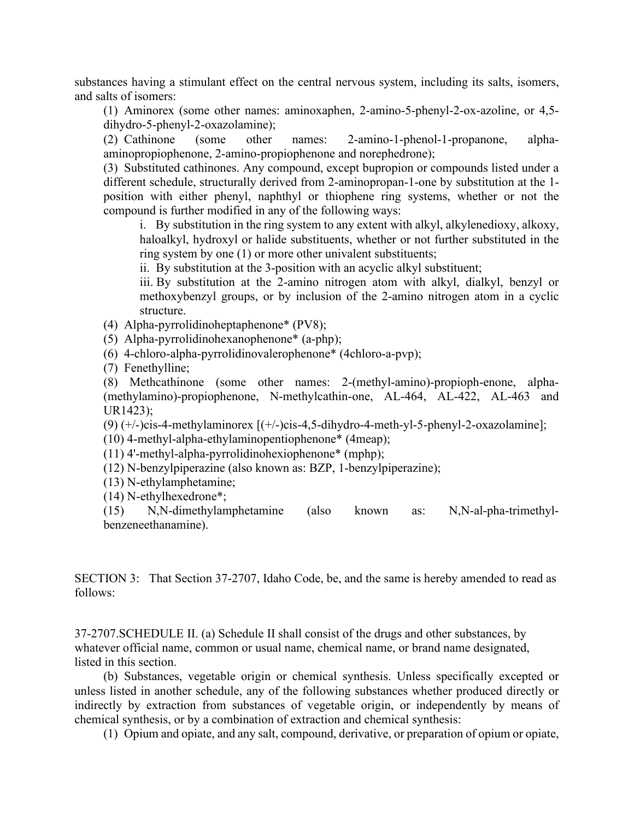substances having a stimulant effect on the central nervous system, including its salts, isomers, and salts of isomers:

(1) Aminorex (some other names: aminoxaphen, 2-amino-5-phenyl-2-ox-azoline, or 4,5 dihydro-5-phenyl-2-oxazolamine);

(2) Cathinone (some other names: 2-amino-1-phenol-1-propanone, alphaaminopropiophenone, 2-amino-propiophenone and norephedrone);

(3) Substituted cathinones. Any compound, except bupropion or compounds listed under a different schedule, structurally derived from 2-aminopropan-1-one by substitution at the 1 position with either phenyl, naphthyl or thiophene ring systems, whether or not the compound is further modified in any of the following ways:

i. By substitution in the ring system to any extent with alkyl, alkylenedioxy, alkoxy, haloalkyl, hydroxyl or halide substituents, whether or not further substituted in the ring system by one (1) or more other univalent substituents;

ii. By substitution at the 3-position with an acyclic alkyl substituent;

iii. By substitution at the 2-amino nitrogen atom with alkyl, dialkyl, benzyl or methoxybenzyl groups, or by inclusion of the 2-amino nitrogen atom in a cyclic structure.

(4) Alpha-pyrrolidinoheptaphenone\* (PV8);

- (5) Alpha-pyrrolidinohexanophenone\* (a-php);
- (6) 4-chloro-alpha-pyrrolidinovalerophenone\* (4chloro-a-pvp);
- (7) Fenethylline;

(8) Methcathinone (some other names: 2-(methyl-amino)-propioph-enone, alpha- (methylamino)-propiophenone, N-methylcathin-one, AL-464, AL-422, AL-463 and UR1423);

(9)  $(+/-)$ cis-4-methylaminorex  $[ (+/-)$ cis-4,5-dihydro-4-meth-yl-5-phenyl-2-oxazolamine];

(10) 4-methyl-alpha-ethylaminopentiophenone\* (4meap);

(11) 4'-methyl-alpha-pyrrolidinohexiophenone\* (mphp);

- (12) N-benzylpiperazine (also known as: BZP, 1-benzylpiperazine);
- (13) N-ethylamphetamine;
- (14) N-ethylhexedrone\*;

(15) N,N-dimethylamphetamine (also known as: N,N-al-pha-trimethylbenzeneethanamine).

SECTION 3: That Section 37-2707, Idaho Code, be, and the same is hereby amended to read as follows:

37-2707.SCHEDULE II. (a) Schedule II shall consist of the drugs and other substances, by whatever official name, common or usual name, chemical name, or brand name designated, listed in this section.

(b) Substances, vegetable origin or chemical synthesis. Unless specifically excepted or unless listed in another schedule, any of the following substances whether produced directly or indirectly by extraction from substances of vegetable origin, or independently by means of chemical synthesis, or by a combination of extraction and chemical synthesis:

(1) Opium and opiate, and any salt, compound, derivative, or preparation of opium or opiate,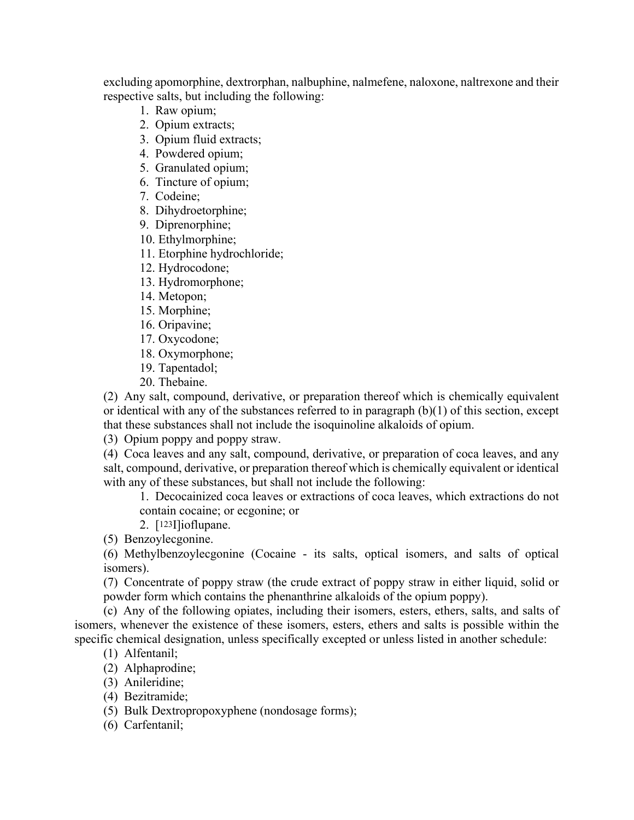excluding apomorphine, dextrorphan, nalbuphine, nalmefene, naloxone, naltrexone and their respective salts, but including the following:

- 1. Raw opium;
- 2. Opium extracts;
- 3. Opium fluid extracts;
- 4. Powdered opium;
- 5. Granulated opium;
- 6. Tincture of opium;
- 7. Codeine;
- 8. Dihydroetorphine;
- 9. Diprenorphine;
- 10. Ethylmorphine;
- 11. Etorphine hydrochloride;
- 12. Hydrocodone;
- 13. Hydromorphone;
- 14. Metopon;
- 15. Morphine;
- 16. Oripavine;
- 17. Oxycodone;
- 18. Oxymorphone;
- 19. Tapentadol;
- 20. Thebaine.

(2) Any salt, compound, derivative, or preparation thereof which is chemically equivalent or identical with any of the substances referred to in paragraph (b)(1) of this section, except that these substances shall not include the isoquinoline alkaloids of opium.

(3) Opium poppy and poppy straw.

(4) Coca leaves and any salt, compound, derivative, or preparation of coca leaves, and any salt, compound, derivative, or preparation thereof which is chemically equivalent or identical with any of these substances, but shall not include the following:

1. Decocainized coca leaves or extractions of coca leaves, which extractions do not contain cocaine; or ecgonine; or

2. [123I]ioflupane.

(5) Benzoylecgonine.

(6) Methylbenzoylecgonine (Cocaine - its salts, optical isomers, and salts of optical isomers).

(7) Concentrate of poppy straw (the crude extract of poppy straw in either liquid, solid or powder form which contains the phenanthrine alkaloids of the opium poppy).

(c) Any of the following opiates, including their isomers, esters, ethers, salts, and salts of isomers, whenever the existence of these isomers, esters, ethers and salts is possible within the specific chemical designation, unless specifically excepted or unless listed in another schedule:

- (1) Alfentanil;
- (2) Alphaprodine;
- (3) Anileridine;
- (4) Bezitramide;
- (5) Bulk Dextropropoxyphene (nondosage forms);
- (6) Carfentanil;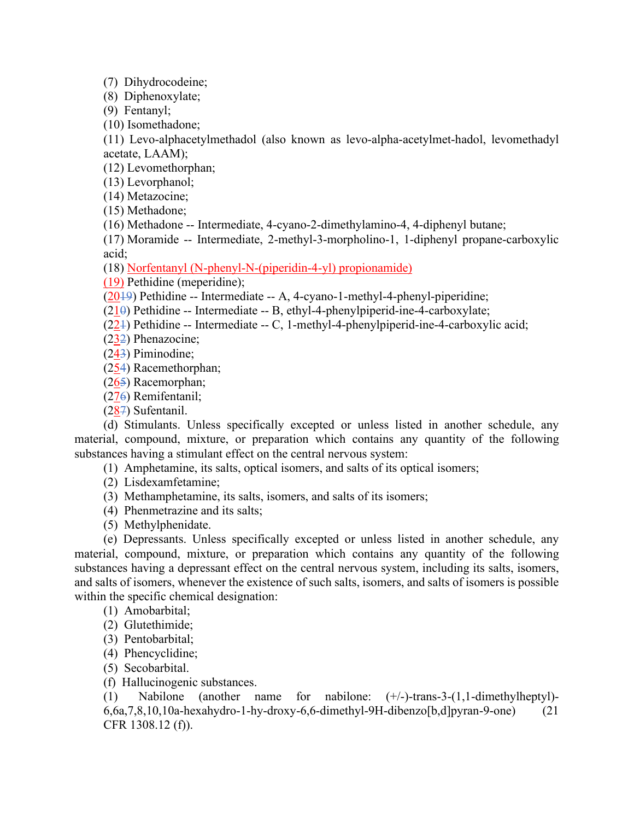(7) Dihydrocodeine;

(8) Diphenoxylate;

(9) Fentanyl;

(10) Isomethadone;

(11) Levo-alphacetylmethadol (also known as levo-alpha-acetylmet-hadol, levomethadyl acetate, LAAM);

(12) Levomethorphan;

(13) Levorphanol;

(14) Metazocine;

(15) Methadone;

(16) Methadone -- Intermediate, 4-cyano-2-dimethylamino-4, 4-diphenyl butane;

(17) Moramide -- Intermediate, 2-methyl-3-morpholino-1, 1-diphenyl propane-carboxylic acid;

(18) Norfentanyl (N-phenyl-N-(piperidin-4-yl) propionamide)

(19) Pethidine (meperidine);

(2019) Pethidine -- Intermediate -- A, 4-cyano-1-methyl-4-phenyl-piperidine;

 $(210)$  Pethidine -- Intermediate -- B, ethyl-4-phenylpiperid-ine-4-carboxylate;

(221) Pethidine -- Intermediate -- C, 1-methyl-4-phenylpiperid-ine-4-carboxylic acid;

(232) Phenazocine;

(243) Piminodine;

(254) Racemethorphan;

(265) Racemorphan;

(276) Remifentanil;

(287) Sufentanil.

(d) Stimulants. Unless specifically excepted or unless listed in another schedule, any material, compound, mixture, or preparation which contains any quantity of the following substances having a stimulant effect on the central nervous system:

(1) Amphetamine, its salts, optical isomers, and salts of its optical isomers;

(2) Lisdexamfetamine;

(3) Methamphetamine, its salts, isomers, and salts of its isomers;

(4) Phenmetrazine and its salts;

(5) Methylphenidate.

(e) Depressants. Unless specifically excepted or unless listed in another schedule, any material, compound, mixture, or preparation which contains any quantity of the following substances having a depressant effect on the central nervous system, including its salts, isomers, and salts of isomers, whenever the existence of such salts, isomers, and salts of isomers is possible within the specific chemical designation:

- (1) Amobarbital;
- (2) Glutethimide;
- (3) Pentobarbital;
- (4) Phencyclidine;

(5) Secobarbital.

(f) Hallucinogenic substances.

(1) Nabilone (another name for nabilone: (+/-)-trans-3-(1,1-dimethylheptyl)- 6,6a,7,8,10,10a-hexahydro-1-hy-droxy-6,6-dimethyl-9H-dibenzo[b,d]pyran-9-one) (21 CFR 1308.12 (f)).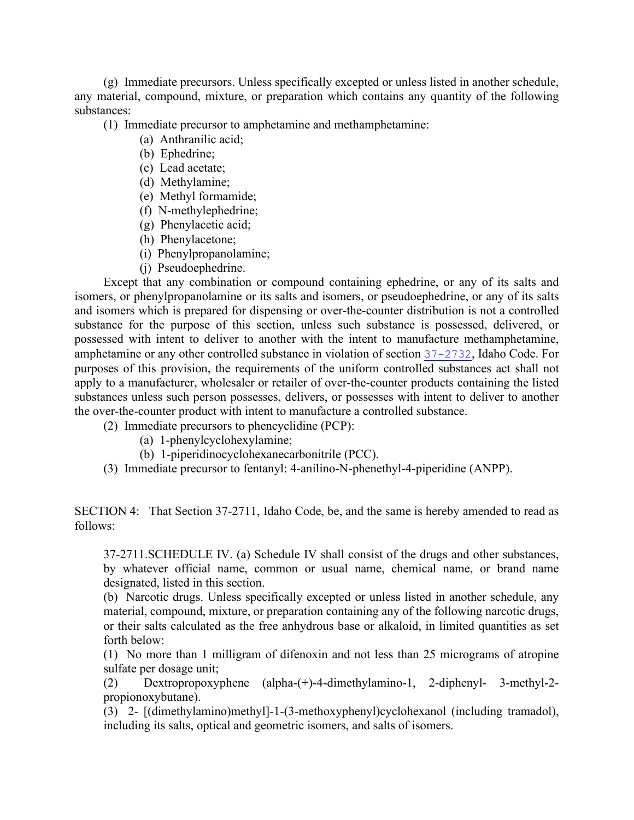(g) Immediate precursors. Unless specifically excepted or unless listed in another schedule, any material, compound, mixture, or preparation which contains any quantity of the following substances:

(1) Immediate precursor to amphetamine and methamphetamine:

- (a) Anthranilic acid;
- (b) Ephedrine;
- (c) Lead acetate;
- (d) Methylamine;
- (e) Methyl formamide;
- (f) N-methylephedrine;
- (g) Phenylacetic acid;
- (h) Phenylacetone;
- (i) Phenylpropanolamine;
- (j) Pseudoephedrine.

Except that any combination or compound containing ephedrine, or any of its salts and isomers, or phenylpropanolamine or its salts and isomers, or pseudoephedrine, or any of its salts and isomers which is prepared for dispensing or over-the-counter distribution is not a controlled substance for the purpose of this section, unless such substance is possessed, delivered, or possessed with intent to deliver to another with the intent to manufacture methamphetamine, amphetamine or any other controlled substance in violation of section [37-2732](https://legislature.idaho.gov/statutesrules/idstat/Title37/T37CH27SECT37-2732), Idaho Code. For purposes of this provision, the requirements of the uniform controlled substances act shall not apply to a manufacturer, wholesaler or retailer of over-the-counter products containing the listed substances unless such person possesses, delivers, or possesses with intent to deliver to another the over-the-counter product with intent to manufacture a controlled substance.

(2) Immediate precursors to phencyclidine (PCP):

- (a) 1-phenylcyclohexylamine;
- (b) 1-piperidinocyclohexanecarbonitrile (PCC).
- (3) Immediate precursor to fentanyl: 4-anilino-N-phenethyl-4-piperidine (ANPP).

SECTION 4: That Section 37-2711, Idaho Code, be, and the same is hereby amended to read as follows:

37-2711.SCHEDULE IV. (a) Schedule IV shall consist of the drugs and other substances, by whatever official name, common or usual name, chemical name, or brand name designated, listed in this section.

(b) Narcotic drugs. Unless specifically excepted or unless listed in another schedule, any material, compound, mixture, or preparation containing any of the following narcotic drugs, or their salts calculated as the free anhydrous base or alkaloid, in limited quantities as set forth below:

(1) No more than 1 milligram of difenoxin and not less than 25 micrograms of atropine sulfate per dosage unit;

(2) Dextropropoxyphene (alpha-(+)-4-dimethylamino-1, 2-diphenyl- 3-methyl-2 propionoxybutane).

(3) 2- [(dimethylamino)methyl]-1-(3-methoxyphenyl)cyclohexanol (including tramadol), including its salts, optical and geometric isomers, and salts of isomers.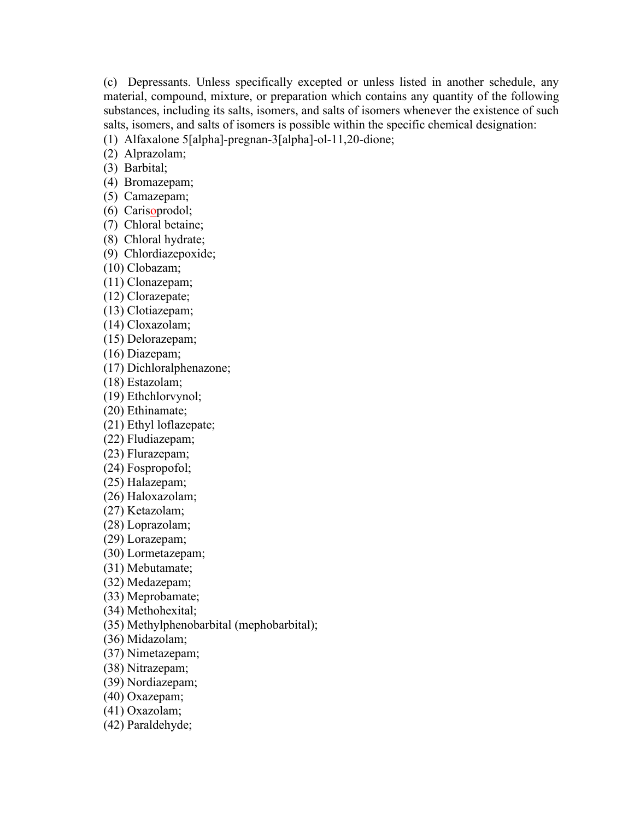(c) Depressants. Unless specifically excepted or unless listed in another schedule, any material, compound, mixture, or preparation which contains any quantity of the following substances, including its salts, isomers, and salts of isomers whenever the existence of such salts, isomers, and salts of isomers is possible within the specific chemical designation:

(1) Alfaxalone 5[alpha]-pregnan-3[alpha]-ol-11,20-dione;

(2) Alprazolam;

(3) Barbital;

(4) Bromazepam;

(5) Camazepam;

(6) Carisoprodol;

(7) Chloral betaine;

(8) Chloral hydrate;

(9) Chlordiazepoxide;

(10) Clobazam;

(11) Clonazepam;

(12) Clorazepate;

(13) Clotiazepam;

(14) Cloxazolam;

(15) Delorazepam;

(16) Diazepam;

(17) Dichloralphenazone;

(18) Estazolam;

(19) Ethchlorvynol;

(20) Ethinamate;

(21) Ethyl loflazepate;

(22) Fludiazepam;

(23) Flurazepam;

(24) Fospropofol;

(25) Halazepam;

(26) Haloxazolam;

(27) Ketazolam;

(28) Loprazolam;

(29) Lorazepam;

(30) Lormetazepam;

(31) Mebutamate;

(32) Medazepam;

(33) Meprobamate;

(34) Methohexital;

(35) Methylphenobarbital (mephobarbital);

(36) Midazolam;

(37) Nimetazepam;

(38) Nitrazepam;

(39) Nordiazepam;

(40) Oxazepam;

(41) Oxazolam;

(42) Paraldehyde;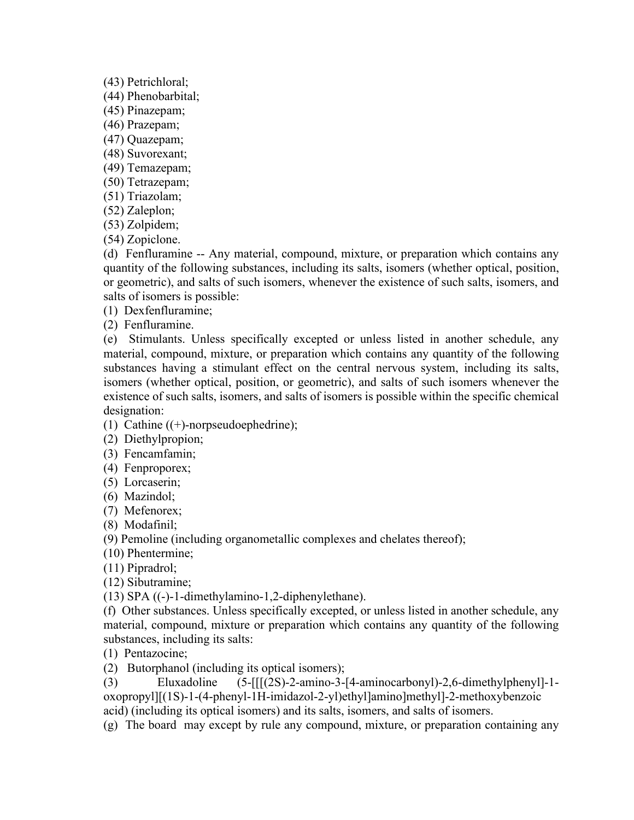(43) Petrichloral;

(44) Phenobarbital;

(45) Pinazepam;

(46) Prazepam;

(47) Quazepam;

(48) Suvorexant;

(49) Temazepam;

(50) Tetrazepam;

(51) Triazolam;

(52) Zaleplon;

(53) Zolpidem;

(54) Zopiclone.

(d) Fenfluramine -- Any material, compound, mixture, or preparation which contains any quantity of the following substances, including its salts, isomers (whether optical, position, or geometric), and salts of such isomers, whenever the existence of such salts, isomers, and salts of isomers is possible:

(1) Dexfenfluramine;

(2) Fenfluramine.

(e) Stimulants. Unless specifically excepted or unless listed in another schedule, any material, compound, mixture, or preparation which contains any quantity of the following substances having a stimulant effect on the central nervous system, including its salts, isomers (whether optical, position, or geometric), and salts of such isomers whenever the existence of such salts, isomers, and salts of isomers is possible within the specific chemical designation:

(1) Cathine  $((+)$ -norpseudoephedrine);

(2) Diethylpropion;

(3) Fencamfamin;

(4) Fenproporex;

(5) Lorcaserin;

(6) Mazindol;

(7) Mefenorex;

(8) Modafinil;

(9) Pemoline (including organometallic complexes and chelates thereof);

(10) Phentermine;

(11) Pipradrol;

(12) Sibutramine;

(13) SPA ((-)-1-dimethylamino-1,2-diphenylethane).

(f) Other substances. Unless specifically excepted, or unless listed in another schedule, any material, compound, mixture or preparation which contains any quantity of the following substances, including its salts:

(1) Pentazocine;

(2) Butorphanol (including its optical isomers);

(3) Eluxadoline (5-[[[(2S)-2-amino-3-[4-aminocarbonyl)-2,6-dimethylphenyl]-1 oxopropyl][(1S)-1-(4-phenyl-1H-imidazol-2-yl)ethyl]amino]methyl]-2-methoxybenzoic acid) (including its optical isomers) and its salts, isomers, and salts of isomers.

(g) The board may except by rule any compound, mixture, or preparation containing any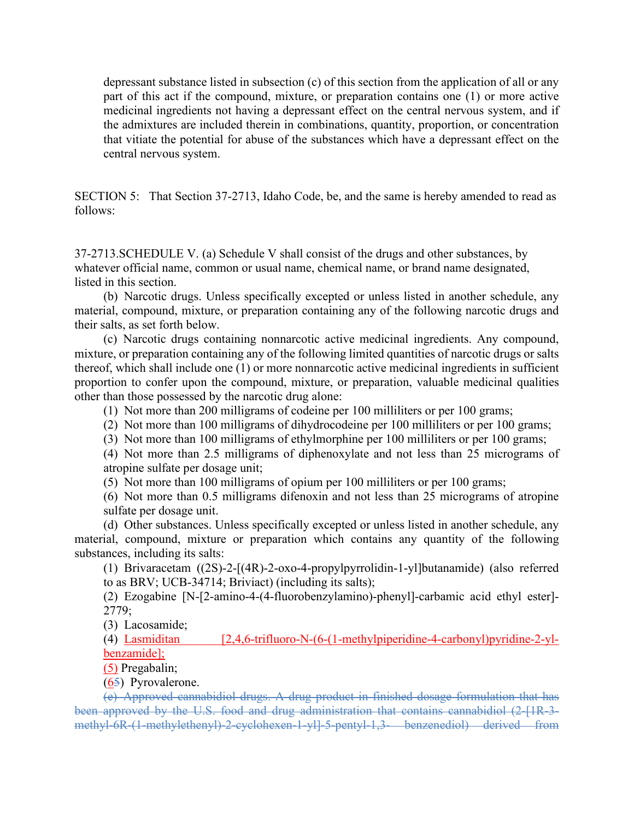depressant substance listed in subsection (c) of this section from the application of all or any part of this act if the compound, mixture, or preparation contains one (1) or more active medicinal ingredients not having a depressant effect on the central nervous system, and if the admixtures are included therein in combinations, quantity, proportion, or concentration that vitiate the potential for abuse of the substances which have a depressant effect on the central nervous system.

SECTION 5: That Section 37-2713, Idaho Code, be, and the same is hereby amended to read as follows:

37-2713.SCHEDULE V. (a) Schedule V shall consist of the drugs and other substances, by whatever official name, common or usual name, chemical name, or brand name designated, listed in this section.

(b) Narcotic drugs. Unless specifically excepted or unless listed in another schedule, any material, compound, mixture, or preparation containing any of the following narcotic drugs and their salts, as set forth below.

(c) Narcotic drugs containing nonnarcotic active medicinal ingredients. Any compound, mixture, or preparation containing any of the following limited quantities of narcotic drugs or salts thereof, which shall include one (1) or more nonnarcotic active medicinal ingredients in sufficient proportion to confer upon the compound, mixture, or preparation, valuable medicinal qualities other than those possessed by the narcotic drug alone:

(1) Not more than 200 milligrams of codeine per 100 milliliters or per 100 grams;

(2) Not more than 100 milligrams of dihydrocodeine per 100 milliliters or per 100 grams;

(3) Not more than 100 milligrams of ethylmorphine per 100 milliliters or per 100 grams;

(4) Not more than 2.5 milligrams of diphenoxylate and not less than 25 micrograms of atropine sulfate per dosage unit;

(5) Not more than 100 milligrams of opium per 100 milliliters or per 100 grams;

(6) Not more than 0.5 milligrams difenoxin and not less than 25 micrograms of atropine sulfate per dosage unit.

(d) Other substances. Unless specifically excepted or unless listed in another schedule, any material, compound, mixture or preparation which contains any quantity of the following substances, including its salts:

(1) Brivaracetam ((2S)-2-[(4R)-2-oxo-4-propylpyrrolidin-1-yl]butanamide) (also referred to as BRV; UCB-34714; Briviact) (including its salts);

(2) Ezogabine [N-[2-amino-4-(4-fluorobenzylamino)-phenyl]-carbamic acid ethyl ester]- 2779;

(3) Lacosamide;

(4) Lasmiditan [2,4,6-trifluoro-N-(6-(1-methylpiperidine-4-carbonyl)pyridine-2-ylbenzamide];

(5) Pregabalin;

(65) Pyrovalerone.

(e) Approved cannabidiol drugs. A drug product in finished dosage formulation that has been approved by the U.S. food and drug administration that contains cannabidiol (2-[1R-3-] methyl-6R-(1-methylethenyl)-2-cyclohexen-1-yl]-5-pentyl-1,3- benzenediol) derived from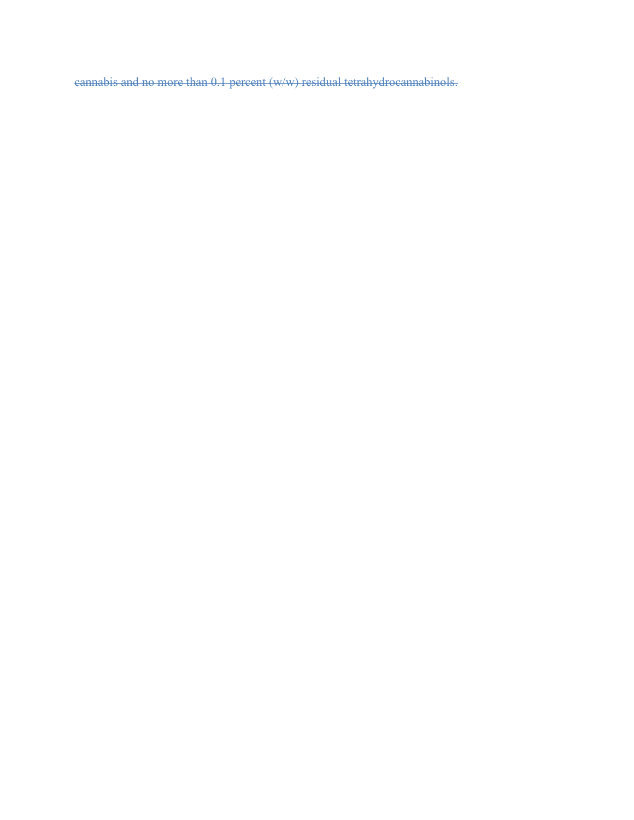cannabis and no more than 0.1 percent (w/w) residual tetrahydrocannabinols.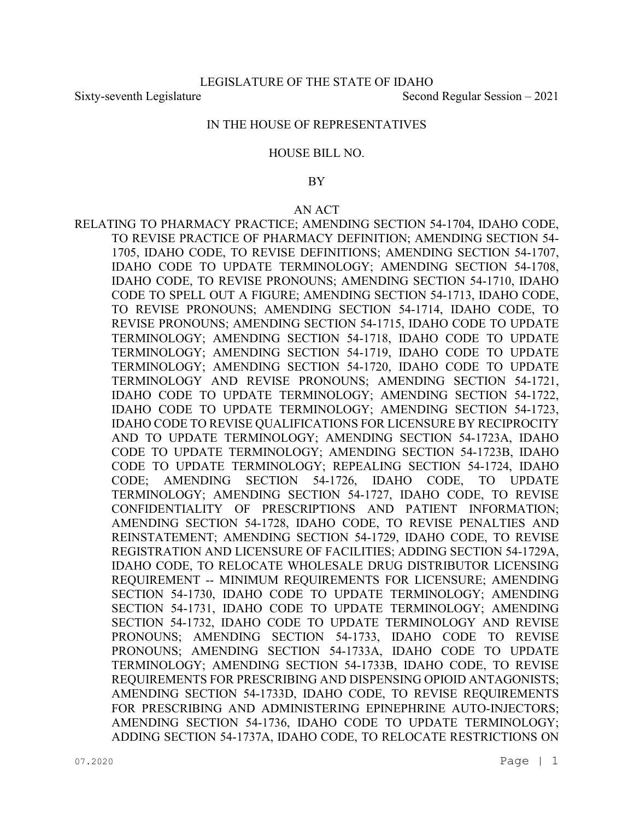Sixty-seventh Legislature Second Regular Session – 2021

### IN THE HOUSE OF REPRESENTATIVES

#### HOUSE BILL NO.

### BY

#### AN ACT

RELATING TO PHARMACY PRACTICE; AMENDING SECTION 54-1704, IDAHO CODE, TO REVISE PRACTICE OF PHARMACY DEFINITION; AMENDING SECTION 54- 1705, IDAHO CODE, TO REVISE DEFINITIONS; AMENDING SECTION 54-1707, IDAHO CODE TO UPDATE TERMINOLOGY; AMENDING SECTION 54-1708, IDAHO CODE, TO REVISE PRONOUNS; AMENDING SECTION 54-1710, IDAHO CODE TO SPELL OUT A FIGURE; AMENDING SECTION 54-1713, IDAHO CODE, TO REVISE PRONOUNS; AMENDING SECTION 54-1714, IDAHO CODE, TO REVISE PRONOUNS; AMENDING SECTION 54-1715, IDAHO CODE TO UPDATE TERMINOLOGY; AMENDING SECTION 54-1718, IDAHO CODE TO UPDATE TERMINOLOGY; AMENDING SECTION 54-1719, IDAHO CODE TO UPDATE TERMINOLOGY; AMENDING SECTION 54-1720, IDAHO CODE TO UPDATE TERMINOLOGY AND REVISE PRONOUNS; AMENDING SECTION 54-1721, IDAHO CODE TO UPDATE TERMINOLOGY; AMENDING SECTION 54-1722, IDAHO CODE TO UPDATE TERMINOLOGY; AMENDING SECTION 54-1723, IDAHO CODE TO REVISE QUALIFICATIONS FOR LICENSURE BY RECIPROCITY AND TO UPDATE TERMINOLOGY; AMENDING SECTION 54-1723A, IDAHO CODE TO UPDATE TERMINOLOGY; AMENDING SECTION 54-1723B, IDAHO CODE TO UPDATE TERMINOLOGY; REPEALING SECTION 54-1724, IDAHO CODE; AMENDING SECTION 54-1726, IDAHO CODE, TO UPDATE TERMINOLOGY; AMENDING SECTION 54-1727, IDAHO CODE, TO REVISE CONFIDENTIALITY OF PRESCRIPTIONS AND PATIENT INFORMATION; AMENDING SECTION 54-1728, IDAHO CODE, TO REVISE PENALTIES AND REINSTATEMENT; AMENDING SECTION 54-1729, IDAHO CODE, TO REVISE REGISTRATION AND LICENSURE OF FACILITIES; ADDING SECTION 54-1729A, IDAHO CODE, TO RELOCATE WHOLESALE DRUG DISTRIBUTOR LICENSING REQUIREMENT -- MINIMUM REQUIREMENTS FOR LICENSURE; AMENDING SECTION 54-1730, IDAHO CODE TO UPDATE TERMINOLOGY; AMENDING SECTION 54-1731, IDAHO CODE TO UPDATE TERMINOLOGY; AMENDING SECTION 54-1732, IDAHO CODE TO UPDATE TERMINOLOGY AND REVISE PRONOUNS; AMENDING SECTION 54-1733, IDAHO CODE TO REVISE PRONOUNS; AMENDING SECTION 54-1733A, IDAHO CODE TO UPDATE TERMINOLOGY; AMENDING SECTION 54-1733B, IDAHO CODE, TO REVISE REQUIREMENTS FOR PRESCRIBING AND DISPENSING OPIOID ANTAGONISTS; AMENDING SECTION 54-1733D, IDAHO CODE, TO REVISE REQUIREMENTS FOR PRESCRIBING AND ADMINISTERING EPINEPHRINE AUTO-INJECTORS; AMENDING SECTION 54-1736, IDAHO CODE TO UPDATE TERMINOLOGY; ADDING SECTION 54-1737A, IDAHO CODE, TO RELOCATE RESTRICTIONS ON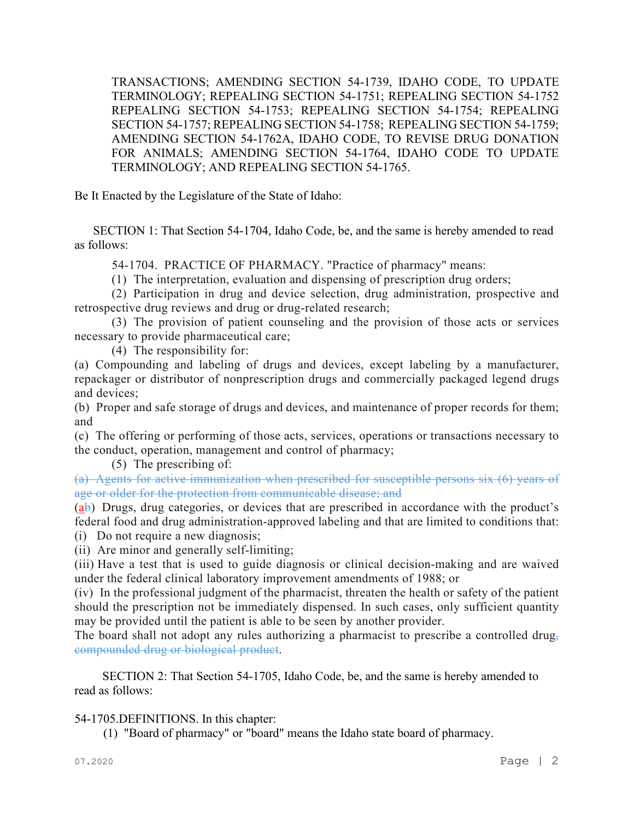TRANSACTIONS; AMENDING SECTION 54-1739, IDAHO CODE, TO UPDATE TERMINOLOGY; REPEALING SECTION 54-1751; REPEALING SECTION 54-1752 REPEALING SECTION 54-1753; REPEALING SECTION 54-1754; REPEALING SECTION 54-1757; REPEALING SECTION 54-1758; REPEALING SECTION 54-1759; AMENDING SECTION 54-1762A, IDAHO CODE, TO REVISE DRUG DONATION FOR ANIMALS; AMENDING SECTION 54-1764, IDAHO CODE TO UPDATE TERMINOLOGY; AND REPEALING SECTION 54-1765.

Be It Enacted by the Legislature of the State of Idaho:

 SECTION 1: That Section 54-1704, Idaho Code, be, and the same is hereby amended to read as follows:

54-1704. PRACTICE OF PHARMACY. "Practice of pharmacy" means:

(1) The interpretation, evaluation and dispensing of prescription drug orders;

(2) Participation in drug and device selection, drug administration, prospective and retrospective drug reviews and drug or drug-related research;

(3) The provision of patient counseling and the provision of those acts or services necessary to provide pharmaceutical care;

(4) The responsibility for:

(a) Compounding and labeling of drugs and devices, except labeling by a manufacturer, repackager or distributor of nonprescription drugs and commercially packaged legend drugs and devices;

(b) Proper and safe storage of drugs and devices, and maintenance of proper records for them; and

(c) The offering or performing of those acts, services, operations or transactions necessary to the conduct, operation, management and control of pharmacy;

(5) The prescribing of:

(a) Agents for active immunization when prescribed for susceptible persons six (6) years of age or older for the protection from communicable disease; and

(ab) Drugs, drug categories, or devices that are prescribed in accordance with the product's federal food and drug administration-approved labeling and that are limited to conditions that:

(i) Do not require a new diagnosis;

(ii) Are minor and generally self-limiting;

(iii) Have a test that is used to guide diagnosis or clinical decision-making and are waived under the federal clinical laboratory improvement amendments of 1988; or

(iv) In the professional judgment of the pharmacist, threaten the health or safety of the patient should the prescription not be immediately dispensed. In such cases, only sufficient quantity may be provided until the patient is able to be seen by another provider.

The board shall not adopt any rules authorizing a pharmacist to prescribe a controlled drug, compounded drug or biological product.

 SECTION 2: That Section 54-1705, Idaho Code, be, and the same is hereby amended to read as follows:

# 54-1705.DEFINITIONS. In this chapter:

(1) "Board of pharmacy" or "board" means the Idaho state board of pharmacy.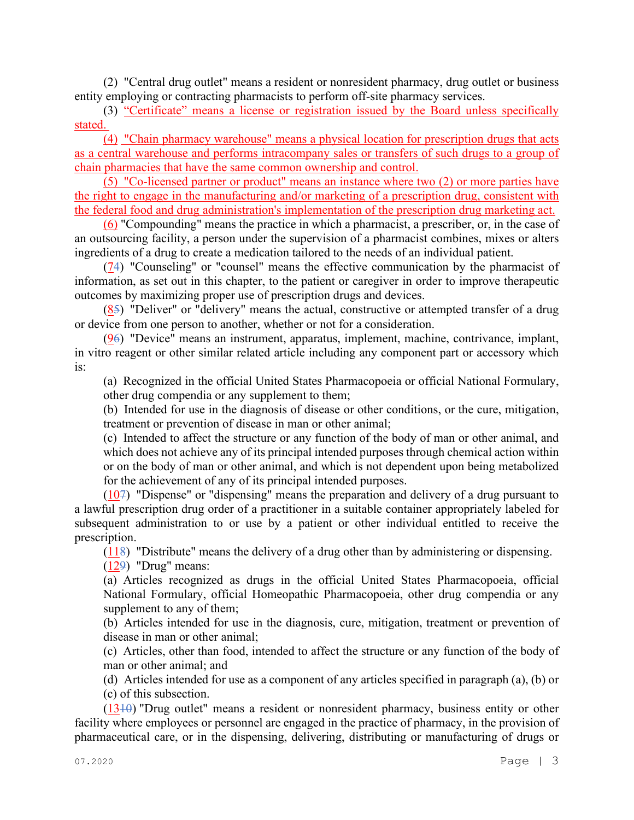(2) "Central drug outlet" means a resident or nonresident pharmacy, drug outlet or business entity employing or contracting pharmacists to perform off-site pharmacy services.

(3) "Certificate" means a license or registration issued by the Board unless specifically stated.

(4) "Chain pharmacy warehouse" means a physical location for prescription drugs that acts as a central warehouse and performs intracompany sales or transfers of such drugs to a group of chain pharmacies that have the same common ownership and control.

(5) "Co-licensed partner or product" means an instance where two (2) or more parties have the right to engage in the manufacturing and/or marketing of a prescription drug, consistent with the federal food and drug administration's implementation of the prescription drug marketing act.

(6) "Compounding" means the practice in which a pharmacist, a prescriber, or, in the case of an outsourcing facility, a person under the supervision of a pharmacist combines, mixes or alters ingredients of a drug to create a medication tailored to the needs of an individual patient.

(74) "Counseling" or "counsel" means the effective communication by the pharmacist of information, as set out in this chapter, to the patient or caregiver in order to improve therapeutic outcomes by maximizing proper use of prescription drugs and devices.

(85) "Deliver" or "delivery" means the actual, constructive or attempted transfer of a drug or device from one person to another, whether or not for a consideration.

(96) "Device" means an instrument, apparatus, implement, machine, contrivance, implant, in vitro reagent or other similar related article including any component part or accessory which is:

(a) Recognized in the official United States Pharmacopoeia or official National Formulary, other drug compendia or any supplement to them;

(b) Intended for use in the diagnosis of disease or other conditions, or the cure, mitigation, treatment or prevention of disease in man or other animal;

(c) Intended to affect the structure or any function of the body of man or other animal, and which does not achieve any of its principal intended purposes through chemical action within or on the body of man or other animal, and which is not dependent upon being metabolized for the achievement of any of its principal intended purposes.

(107) "Dispense" or "dispensing" means the preparation and delivery of a drug pursuant to a lawful prescription drug order of a practitioner in a suitable container appropriately labeled for subsequent administration to or use by a patient or other individual entitled to receive the prescription.

(118) "Distribute" means the delivery of a drug other than by administering or dispensing.

(129) "Drug" means:

(a) Articles recognized as drugs in the official United States Pharmacopoeia, official National Formulary, official Homeopathic Pharmacopoeia, other drug compendia or any supplement to any of them;

(b) Articles intended for use in the diagnosis, cure, mitigation, treatment or prevention of disease in man or other animal;

(c) Articles, other than food, intended to affect the structure or any function of the body of man or other animal; and

(d) Articles intended for use as a component of any articles specified in paragraph (a), (b) or (c) of this subsection.

 $(1310)$  "Drug outlet" means a resident or nonresident pharmacy, business entity or other facility where employees or personnel are engaged in the practice of pharmacy, in the provision of pharmaceutical care, or in the dispensing, delivering, distributing or manufacturing of drugs or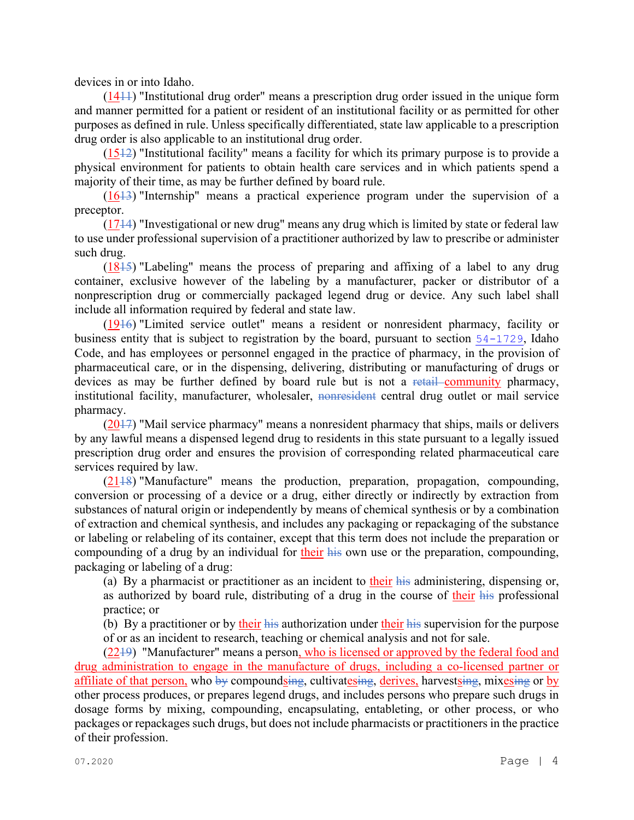devices in or into Idaho.

(1411) "Institutional drug order" means a prescription drug order issued in the unique form and manner permitted for a patient or resident of an institutional facility or as permitted for other purposes as defined in rule. Unless specifically differentiated, state law applicable to a prescription drug order is also applicable to an institutional drug order.

 $(1512)$  "Institutional facility" means a facility for which its primary purpose is to provide a physical environment for patients to obtain health care services and in which patients spend a majority of their time, as may be further defined by board rule.

(1613) "Internship" means a practical experience program under the supervision of a preceptor.

(1714) "Investigational or new drug" means any drug which is limited by state or federal law to use under professional supervision of a practitioner authorized by law to prescribe or administer such drug.

(1815) "Labeling" means the process of preparing and affixing of a label to any drug container, exclusive however of the labeling by a manufacturer, packer or distributor of a nonprescription drug or commercially packaged legend drug or device. Any such label shall include all information required by federal and state law.

(1916) "Limited service outlet" means a resident or nonresident pharmacy, facility or business entity that is subject to registration by the board, pursuant to section [54-1729](file://admiodine/statutesrules/idstat/Title54/T54CH17/SECT54-1729), Idaho Code, and has employees or personnel engaged in the practice of pharmacy, in the provision of pharmaceutical care, or in the dispensing, delivering, distributing or manufacturing of drugs or devices as may be further defined by board rule but is not a retail community pharmacy, institutional facility, manufacturer, wholesaler, nonresident central drug outlet or mail service pharmacy.

 $(2017)$  "Mail service pharmacy" means a nonresident pharmacy that ships, mails or delivers by any lawful means a dispensed legend drug to residents in this state pursuant to a legally issued prescription drug order and ensures the provision of corresponding related pharmaceutical care services required by law.

 $(2118)$  "Manufacture" means the production, preparation, propagation, compounding, conversion or processing of a device or a drug, either directly or indirectly by extraction from substances of natural origin or independently by means of chemical synthesis or by a combination of extraction and chemical synthesis, and includes any packaging or repackaging of the substance or labeling or relabeling of its container, except that this term does not include the preparation or compounding of a drug by an individual for their his own use or the preparation, compounding, packaging or labeling of a drug:

(a) By a pharmacist or practitioner as an incident to their his administering, dispensing or, as authorized by board rule, distributing of a drug in the course of their his professional practice; or

(b) By a practitioner or by their his authorization under their his supervision for the purpose of or as an incident to research, teaching or chemical analysis and not for sale.

(2219) "Manufacturer" means a person, who is licensed or approved by the federal food and drug administration to engage in the manufacture of drugs, including a co-licensed partner or affiliate of that person, who  $\frac{1}{2}$  compoundsing, cultivatesing, derives, harvestsing, mixesing or by other process produces, or prepares legend drugs, and includes persons who prepare such drugs in dosage forms by mixing, compounding, encapsulating, entableting, or other process, or who packages or repackages such drugs, but does not include pharmacists or practitioners in the practice of their profession.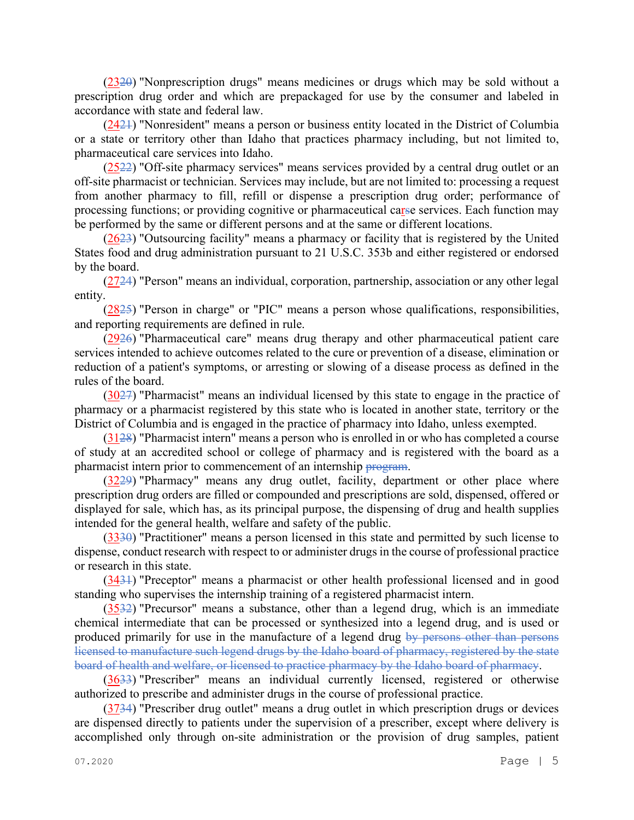(2320) "Nonprescription drugs" means medicines or drugs which may be sold without a prescription drug order and which are prepackaged for use by the consumer and labeled in accordance with state and federal law.

(2421) "Nonresident" means a person or business entity located in the District of Columbia or a state or territory other than Idaho that practices pharmacy including, but not limited to, pharmaceutical care services into Idaho.

(2522) "Off-site pharmacy services" means services provided by a central drug outlet or an off-site pharmacist or technician. Services may include, but are not limited to: processing a request from another pharmacy to fill, refill or dispense a prescription drug order; performance of processing functions; or providing cognitive or pharmaceutical carse services. Each function may be performed by the same or different persons and at the same or different locations.

(2623) "Outsourcing facility" means a pharmacy or facility that is registered by the United States food and drug administration pursuant to 21 U.S.C. 353b and either registered or endorsed by the board.

 $(2724)$  "Person" means an individual, corporation, partnership, association or any other legal entity.

(2825) "Person in charge" or "PIC" means a person whose qualifications, responsibilities, and reporting requirements are defined in rule.

(2926) "Pharmaceutical care" means drug therapy and other pharmaceutical patient care services intended to achieve outcomes related to the cure or prevention of a disease, elimination or reduction of a patient's symptoms, or arresting or slowing of a disease process as defined in the rules of the board.

(3027) "Pharmacist" means an individual licensed by this state to engage in the practice of pharmacy or a pharmacist registered by this state who is located in another state, territory or the District of Columbia and is engaged in the practice of pharmacy into Idaho, unless exempted.

(3128) "Pharmacist intern" means a person who is enrolled in or who has completed a course of study at an accredited school or college of pharmacy and is registered with the board as a pharmacist intern prior to commencement of an internship program.

(3229) "Pharmacy" means any drug outlet, facility, department or other place where prescription drug orders are filled or compounded and prescriptions are sold, dispensed, offered or displayed for sale, which has, as its principal purpose, the dispensing of drug and health supplies intended for the general health, welfare and safety of the public.

(3330) "Practitioner" means a person licensed in this state and permitted by such license to dispense, conduct research with respect to or administer drugs in the course of professional practice or research in this state.

(3431) "Preceptor" means a pharmacist or other health professional licensed and in good standing who supervises the internship training of a registered pharmacist intern.

(3532) "Precursor" means a substance, other than a legend drug, which is an immediate chemical intermediate that can be processed or synthesized into a legend drug, and is used or produced primarily for use in the manufacture of a legend drug by persons other than persons licensed to manufacture such legend drugs by the Idaho board of pharmacy, registered by the state board of health and welfare, or licensed to practice pharmacy by the Idaho board of pharmacy.

(3633) "Prescriber" means an individual currently licensed, registered or otherwise authorized to prescribe and administer drugs in the course of professional practice.

(3734) "Prescriber drug outlet" means a drug outlet in which prescription drugs or devices are dispensed directly to patients under the supervision of a prescriber, except where delivery is accomplished only through on-site administration or the provision of drug samples, patient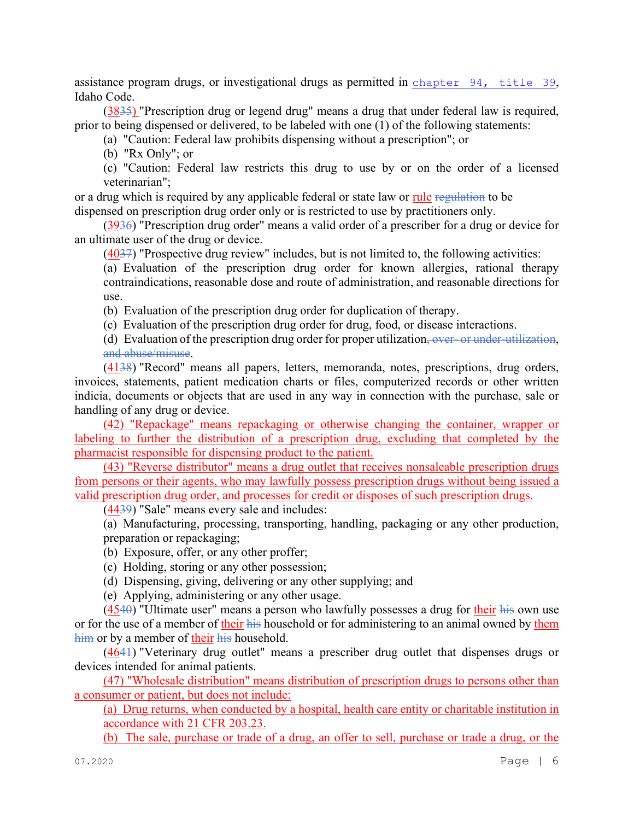assistance program drugs, or investigational drugs as permitted in [chapter 94, title 39](file://admiodine/statutesrules/idstat/Title39/T39CH94), Idaho Code.

(3835) "Prescription drug or legend drug" means a drug that under federal law is required, prior to being dispensed or delivered, to be labeled with one (1) of the following statements:

(a) "Caution: Federal law prohibits dispensing without a prescription"; or

(b) "Rx Only"; or

(c) "Caution: Federal law restricts this drug to use by or on the order of a licensed veterinarian";

or a drug which is required by any applicable federal or state law or rule regulation to be dispensed on prescription drug order only or is restricted to use by practitioners only.

(3936) "Prescription drug order" means a valid order of a prescriber for a drug or device for an ultimate user of the drug or device.

(4037) "Prospective drug review" includes, but is not limited to, the following activities:

(a) Evaluation of the prescription drug order for known allergies, rational therapy contraindications, reasonable dose and route of administration, and reasonable directions for use.

(b) Evaluation of the prescription drug order for duplication of therapy.

(c) Evaluation of the prescription drug order for drug, food, or disease interactions.

(d) Evaluation of the prescription drug order for proper utilization, over- or under-utilization, and abuse/misuse.

(4138) "Record" means all papers, letters, memoranda, notes, prescriptions, drug orders, invoices, statements, patient medication charts or files, computerized records or other written indicia, documents or objects that are used in any way in connection with the purchase, sale or handling of any drug or device.

(42) "Repackage" means repackaging or otherwise changing the container, wrapper or labeling to further the distribution of a prescription drug, excluding that completed by the pharmacist responsible for dispensing product to the patient.

(43) "Reverse distributor" means a drug outlet that receives nonsaleable prescription drugs from persons or their agents, who may lawfully possess prescription drugs without being issued a valid prescription drug order, and processes for credit or disposes of such prescription drugs.

(4439) "Sale" means every sale and includes:

(a) Manufacturing, processing, transporting, handling, packaging or any other production, preparation or repackaging;

(b) Exposure, offer, or any other proffer;

(c) Holding, storing or any other possession;

(d) Dispensing, giving, delivering or any other supplying; and

(e) Applying, administering or any other usage.

 $(4540)$  "Ultimate user" means a person who lawfully possesses a drug for their his own use or for the use of a member of their his household or for administering to an animal owned by them him or by a member of their his household.

(4641) "Veterinary drug outlet" means a prescriber drug outlet that dispenses drugs or devices intended for animal patients.

(47) "Wholesale distribution" means distribution of prescription drugs to persons other than a consumer or patient, but does not include:

(a) Drug returns, when conducted by a hospital, health care entity or charitable institution in accordance with 21 CFR 203.23.

(b) The sale, purchase or trade of a drug, an offer to sell, purchase or trade a drug, or the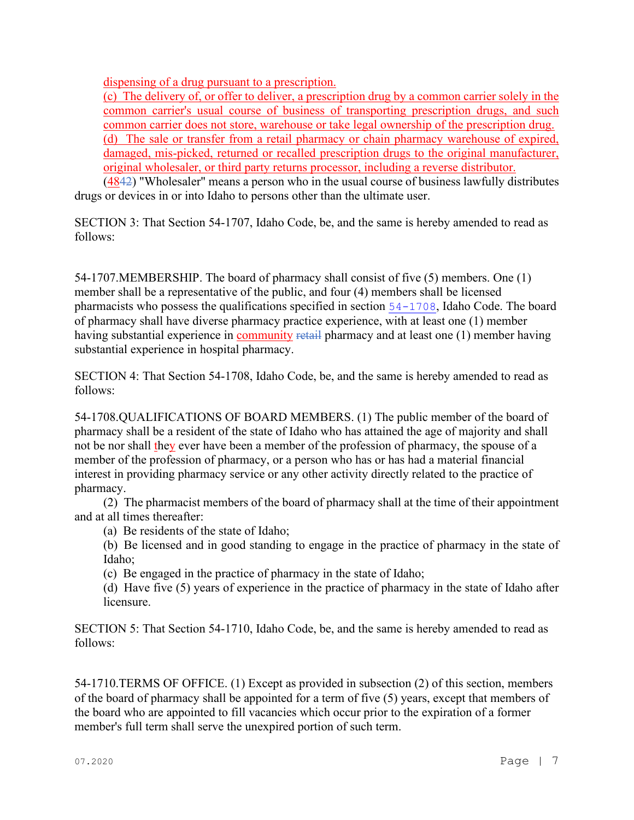dispensing of a drug pursuant to a prescription.

(c) The delivery of, or offer to deliver, a prescription drug by a common carrier solely in the common carrier's usual course of business of transporting prescription drugs, and such common carrier does not store, warehouse or take legal ownership of the prescription drug. (d) The sale or transfer from a retail pharmacy or chain pharmacy warehouse of expired, damaged, mis-picked, returned or recalled prescription drugs to the original manufacturer, original wholesaler, or third party returns processor, including a reverse distributor.

(4842) "Wholesaler" means a person who in the usual course of business lawfully distributes drugs or devices in or into Idaho to persons other than the ultimate user.

SECTION 3: That Section 54-1707, Idaho Code, be, and the same is hereby amended to read as follows:

54-1707.MEMBERSHIP. The board of pharmacy shall consist of five (5) members. One (1) member shall be a representative of the public, and four (4) members shall be licensed pharmacists who possess the qualifications specified in section [54-1708](https://legislature.idaho.gov/statutesrules/idstat/Title54/T54CH17SECT54-1708), Idaho Code. The board of pharmacy shall have diverse pharmacy practice experience, with at least one (1) member having substantial experience in community retail pharmacy and at least one (1) member having substantial experience in hospital pharmacy.

SECTION 4: That Section 54-1708, Idaho Code, be, and the same is hereby amended to read as follows:

54-1708.QUALIFICATIONS OF BOARD MEMBERS. (1) The public member of the board of pharmacy shall be a resident of the state of Idaho who has attained the age of majority and shall not be nor shall they ever have been a member of the profession of pharmacy, the spouse of a member of the profession of pharmacy, or a person who has or has had a material financial interest in providing pharmacy service or any other activity directly related to the practice of pharmacy.

(2) The pharmacist members of the board of pharmacy shall at the time of their appointment and at all times thereafter:

- (a) Be residents of the state of Idaho;
- (b) Be licensed and in good standing to engage in the practice of pharmacy in the state of Idaho;
- (c) Be engaged in the practice of pharmacy in the state of Idaho;
- (d) Have five (5) years of experience in the practice of pharmacy in the state of Idaho after licensure.

SECTION 5: That Section 54-1710, Idaho Code, be, and the same is hereby amended to read as follows:

54-1710.TERMS OF OFFICE. (1) Except as provided in subsection (2) of this section, members of the board of pharmacy shall be appointed for a term of five (5) years, except that members of the board who are appointed to fill vacancies which occur prior to the expiration of a former member's full term shall serve the unexpired portion of such term.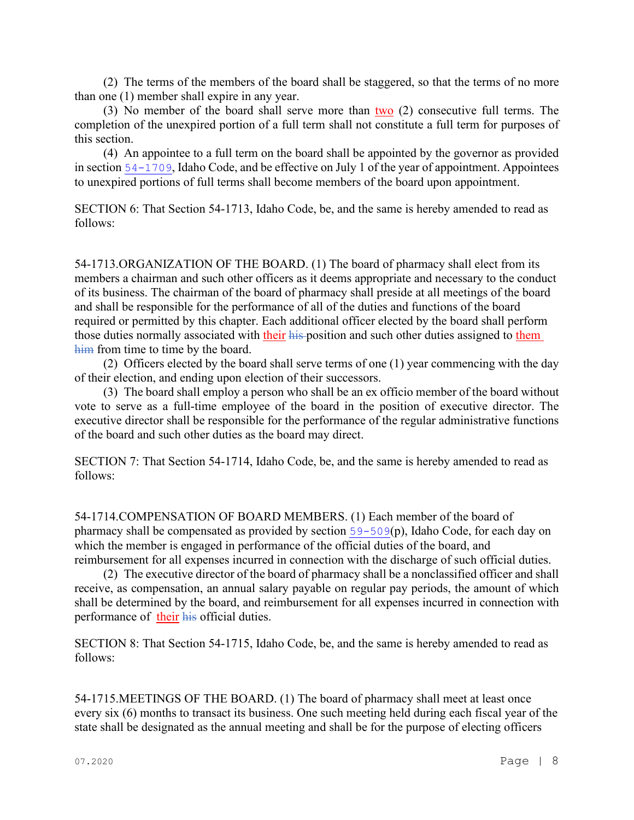(2) The terms of the members of the board shall be staggered, so that the terms of no more than one (1) member shall expire in any year.

(3) No member of the board shall serve more than  $two$  (2) consecutive full terms. The completion of the unexpired portion of a full term shall not constitute a full term for purposes of this section.

(4) An appointee to a full term on the board shall be appointed by the governor as provided in section [54-1709](https://legislature.idaho.gov/statutesrules/idstat/Title54/T54CH17SECT54-1709), Idaho Code, and be effective on July 1 of the year of appointment. Appointees to unexpired portions of full terms shall become members of the board upon appointment.

SECTION 6: That Section 54-1713, Idaho Code, be, and the same is hereby amended to read as follows:

54-1713.ORGANIZATION OF THE BOARD. (1) The board of pharmacy shall elect from its members a chairman and such other officers as it deems appropriate and necessary to the conduct of its business. The chairman of the board of pharmacy shall preside at all meetings of the board and shall be responsible for the performance of all of the duties and functions of the board required or permitted by this chapter. Each additional officer elected by the board shall perform those duties normally associated with their his position and such other duties assigned to them him from time to time by the board.

(2) Officers elected by the board shall serve terms of one (1) year commencing with the day of their election, and ending upon election of their successors.

(3) The board shall employ a person who shall be an ex officio member of the board without vote to serve as a full-time employee of the board in the position of executive director. The executive director shall be responsible for the performance of the regular administrative functions of the board and such other duties as the board may direct.

SECTION 7: That Section 54-1714, Idaho Code, be, and the same is hereby amended to read as follows:

54-1714.COMPENSATION OF BOARD MEMBERS. (1) Each member of the board of pharmacy shall be compensated as provided by section [59-509](https://legislature.idaho.gov/statutesrules/idstat/Title59/T59CH5SECT59-509)(p), Idaho Code, for each day on which the member is engaged in performance of the official duties of the board, and reimbursement for all expenses incurred in connection with the discharge of such official duties.

(2) The executive director of the board of pharmacy shall be a nonclassified officer and shall receive, as compensation, an annual salary payable on regular pay periods, the amount of which shall be determined by the board, and reimbursement for all expenses incurred in connection with performance of their his official duties.

SECTION 8: That Section 54-1715, Idaho Code, be, and the same is hereby amended to read as follows:

54-1715.MEETINGS OF THE BOARD. (1) The board of pharmacy shall meet at least once every six (6) months to transact its business. One such meeting held during each fiscal year of the state shall be designated as the annual meeting and shall be for the purpose of electing officers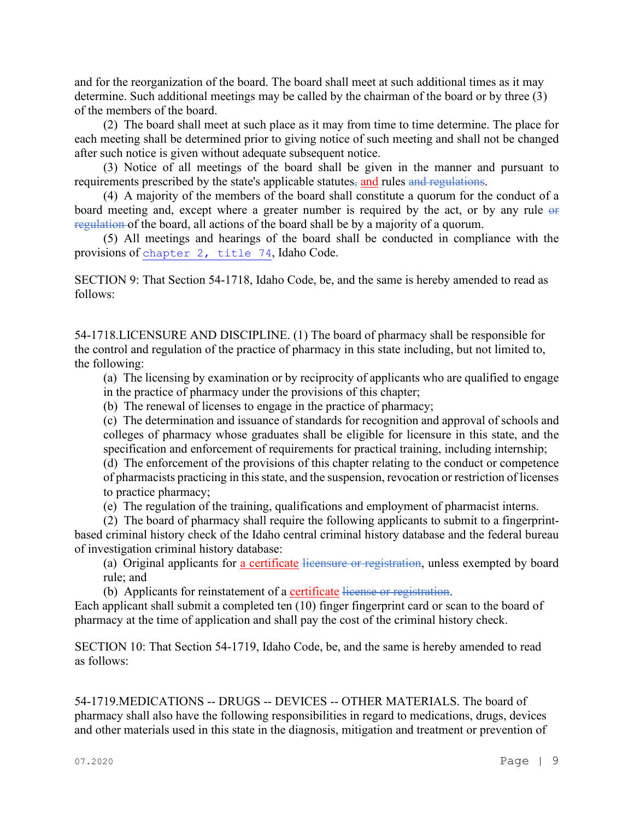and for the reorganization of the board. The board shall meet at such additional times as it may determine. Such additional meetings may be called by the chairman of the board or by three (3) of the members of the board.

(2) The board shall meet at such place as it may from time to time determine. The place for each meeting shall be determined prior to giving notice of such meeting and shall not be changed after such notice is given without adequate subsequent notice.

(3) Notice of all meetings of the board shall be given in the manner and pursuant to requirements prescribed by the state's applicable statutes, and rules and regulations.

(4) A majority of the members of the board shall constitute a quorum for the conduct of a board meeting and, except where a greater number is required by the act, or by any rule or regulation of the board, all actions of the board shall be by a majority of a quorum.

(5) All meetings and hearings of the board shall be conducted in compliance with the provisions of [chapter 2, title 74](https://legislature.idaho.gov/statutesrules/idstat/Title74/T74CH2), Idaho Code.

SECTION 9: That Section 54-1718, Idaho Code, be, and the same is hereby amended to read as follows:

54-1718.LICENSURE AND DISCIPLINE. (1) The board of pharmacy shall be responsible for the control and regulation of the practice of pharmacy in this state including, but not limited to, the following:

(a) The licensing by examination or by reciprocity of applicants who are qualified to engage in the practice of pharmacy under the provisions of this chapter;

(b) The renewal of licenses to engage in the practice of pharmacy;

(c) The determination and issuance of standards for recognition and approval of schools and colleges of pharmacy whose graduates shall be eligible for licensure in this state, and the specification and enforcement of requirements for practical training, including internship;

(d) The enforcement of the provisions of this chapter relating to the conduct or competence of pharmacists practicing in this state, and the suspension, revocation or restriction of licenses to practice pharmacy;

(e) The regulation of the training, qualifications and employment of pharmacist interns.

(2) The board of pharmacy shall require the following applicants to submit to a fingerprintbased criminal history check of the Idaho central criminal history database and the federal bureau of investigation criminal history database:

(a) Original applicants for a certificate licensure or registration, unless exempted by board rule; and

(b) Applicants for reinstatement of a certificate license or registration.

Each applicant shall submit a completed ten (10) finger fingerprint card or scan to the board of pharmacy at the time of application and shall pay the cost of the criminal history check.

SECTION 10: That Section 54-1719, Idaho Code, be, and the same is hereby amended to read as follows:

54-1719.MEDICATIONS -- DRUGS -- DEVICES -- OTHER MATERIALS. The board of pharmacy shall also have the following responsibilities in regard to medications, drugs, devices and other materials used in this state in the diagnosis, mitigation and treatment or prevention of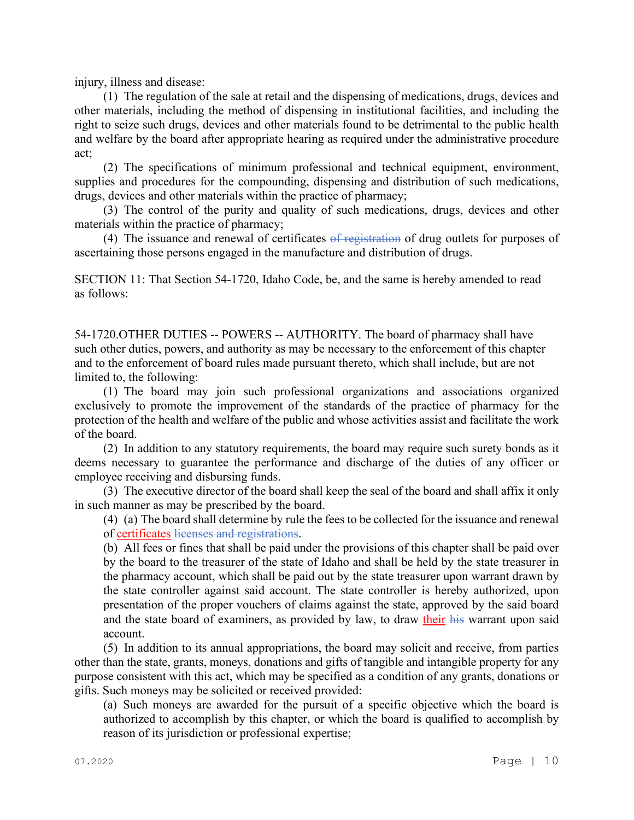injury, illness and disease:

(1) The regulation of the sale at retail and the dispensing of medications, drugs, devices and other materials, including the method of dispensing in institutional facilities, and including the right to seize such drugs, devices and other materials found to be detrimental to the public health and welfare by the board after appropriate hearing as required under the administrative procedure act;

(2) The specifications of minimum professional and technical equipment, environment, supplies and procedures for the compounding, dispensing and distribution of such medications, drugs, devices and other materials within the practice of pharmacy;

(3) The control of the purity and quality of such medications, drugs, devices and other materials within the practice of pharmacy;

(4) The issuance and renewal of certificates  $\sigma f$  registration of drug outlets for purposes of ascertaining those persons engaged in the manufacture and distribution of drugs.

SECTION 11: That Section 54-1720, Idaho Code, be, and the same is hereby amended to read as follows:

54-1720.OTHER DUTIES -- POWERS -- AUTHORITY. The board of pharmacy shall have such other duties, powers, and authority as may be necessary to the enforcement of this chapter and to the enforcement of board rules made pursuant thereto, which shall include, but are not limited to, the following:

(1) The board may join such professional organizations and associations organized exclusively to promote the improvement of the standards of the practice of pharmacy for the protection of the health and welfare of the public and whose activities assist and facilitate the work of the board.

(2) In addition to any statutory requirements, the board may require such surety bonds as it deems necessary to guarantee the performance and discharge of the duties of any officer or employee receiving and disbursing funds.

(3) The executive director of the board shall keep the seal of the board and shall affix it only in such manner as may be prescribed by the board.

(4) (a) The board shall determine by rule the fees to be collected for the issuance and renewal of certificates licenses and registrations.

(b) All fees or fines that shall be paid under the provisions of this chapter shall be paid over by the board to the treasurer of the state of Idaho and shall be held by the state treasurer in the pharmacy account, which shall be paid out by the state treasurer upon warrant drawn by the state controller against said account. The state controller is hereby authorized, upon presentation of the proper vouchers of claims against the state, approved by the said board and the state board of examiners, as provided by law, to draw their his warrant upon said account.

(5) In addition to its annual appropriations, the board may solicit and receive, from parties other than the state, grants, moneys, donations and gifts of tangible and intangible property for any purpose consistent with this act, which may be specified as a condition of any grants, donations or gifts. Such moneys may be solicited or received provided:

(a) Such moneys are awarded for the pursuit of a specific objective which the board is authorized to accomplish by this chapter, or which the board is qualified to accomplish by reason of its jurisdiction or professional expertise;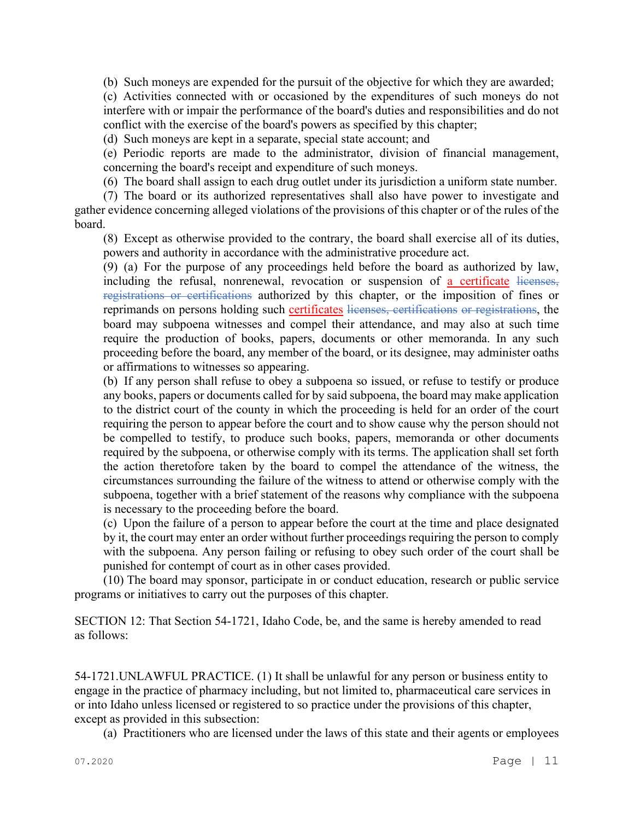(b) Such moneys are expended for the pursuit of the objective for which they are awarded;

(c) Activities connected with or occasioned by the expenditures of such moneys do not interfere with or impair the performance of the board's duties and responsibilities and do not conflict with the exercise of the board's powers as specified by this chapter;

(d) Such moneys are kept in a separate, special state account; and

(e) Periodic reports are made to the administrator, division of financial management, concerning the board's receipt and expenditure of such moneys.

(6) The board shall assign to each drug outlet under its jurisdiction a uniform state number.

(7) The board or its authorized representatives shall also have power to investigate and gather evidence concerning alleged violations of the provisions of this chapter or of the rules of the board.

(8) Except as otherwise provided to the contrary, the board shall exercise all of its duties, powers and authority in accordance with the administrative procedure act.

(9) (a) For the purpose of any proceedings held before the board as authorized by law, including the refusal, nonrenewal, revocation or suspension of a certificate licenses, registrations or certifications authorized by this chapter, or the imposition of fines or reprimands on persons holding such certificates licenses, certifications or registrations, the board may subpoena witnesses and compel their attendance, and may also at such time require the production of books, papers, documents or other memoranda. In any such proceeding before the board, any member of the board, or its designee, may administer oaths or affirmations to witnesses so appearing.

(b) If any person shall refuse to obey a subpoena so issued, or refuse to testify or produce any books, papers or documents called for by said subpoena, the board may make application to the district court of the county in which the proceeding is held for an order of the court requiring the person to appear before the court and to show cause why the person should not be compelled to testify, to produce such books, papers, memoranda or other documents required by the subpoena, or otherwise comply with its terms. The application shall set forth the action theretofore taken by the board to compel the attendance of the witness, the circumstances surrounding the failure of the witness to attend or otherwise comply with the subpoena, together with a brief statement of the reasons why compliance with the subpoena is necessary to the proceeding before the board.

(c) Upon the failure of a person to appear before the court at the time and place designated by it, the court may enter an order without further proceedings requiring the person to comply with the subpoena. Any person failing or refusing to obey such order of the court shall be punished for contempt of court as in other cases provided.

(10) The board may sponsor, participate in or conduct education, research or public service programs or initiatives to carry out the purposes of this chapter.

SECTION 12: That Section 54-1721, Idaho Code, be, and the same is hereby amended to read as follows:

54-1721.UNLAWFUL PRACTICE. (1) It shall be unlawful for any person or business entity to engage in the practice of pharmacy including, but not limited to, pharmaceutical care services in or into Idaho unless licensed or registered to so practice under the provisions of this chapter, except as provided in this subsection:

(a) Practitioners who are licensed under the laws of this state and their agents or employees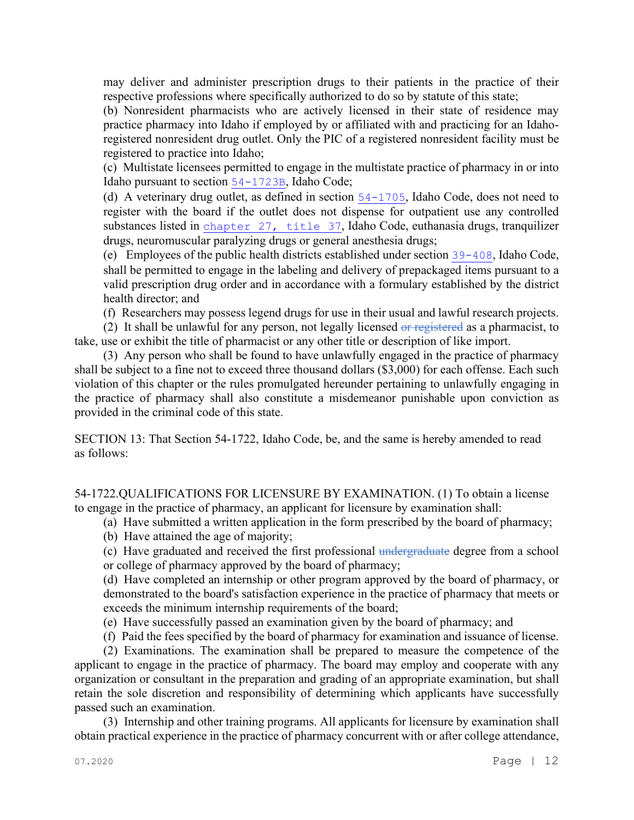may deliver and administer prescription drugs to their patients in the practice of their respective professions where specifically authorized to do so by statute of this state;

(b) Nonresident pharmacists who are actively licensed in their state of residence may practice pharmacy into Idaho if employed by or affiliated with and practicing for an Idahoregistered nonresident drug outlet. Only the PIC of a registered nonresident facility must be registered to practice into Idaho;

(c) Multistate licensees permitted to engage in the multistate practice of pharmacy in or into Idaho pursuant to section [54-1723B](file://admiodine/statutesrules/idstat/Title54/T54CH17/SECT54-1723B), Idaho Code;

(d) A veterinary drug outlet, as defined in section [54-1705](file://admiodine/statutesrules/idstat/Title54/T54CH17/SECT54-1705), Idaho Code, does not need to register with the board if the outlet does not dispense for outpatient use any controlled substances listed in [chapter 27, title 37](file://admiodine/statutesrules/idstat/Title37/T37CH27), Idaho Code, euthanasia drugs, tranquilizer drugs, neuromuscular paralyzing drugs or general anesthesia drugs;

(e) Employees of the public health districts established under section [39-408](file://admiodine/statutesrules/idstat/Title39/T39CH4/SECT39-408), Idaho Code, shall be permitted to engage in the labeling and delivery of prepackaged items pursuant to a valid prescription drug order and in accordance with a formulary established by the district health director; and

(f) Researchers may possess legend drugs for use in their usual and lawful research projects.

(2) It shall be unlawful for any person, not legally licensed or registered as a pharmacist, to take, use or exhibit the title of pharmacist or any other title or description of like import.

(3) Any person who shall be found to have unlawfully engaged in the practice of pharmacy shall be subject to a fine not to exceed three thousand dollars (\$3,000) for each offense. Each such violation of this chapter or the rules promulgated hereunder pertaining to unlawfully engaging in the practice of pharmacy shall also constitute a misdemeanor punishable upon conviction as provided in the criminal code of this state.

SECTION 13: That Section 54-1722, Idaho Code, be, and the same is hereby amended to read as follows:

54-1722.QUALIFICATIONS FOR LICENSURE BY EXAMINATION. (1) To obtain a license to engage in the practice of pharmacy, an applicant for licensure by examination shall:

(a) Have submitted a written application in the form prescribed by the board of pharmacy;

(b) Have attained the age of majority;

(c) Have graduated and received the first professional undergraduate degree from a school or college of pharmacy approved by the board of pharmacy;

(d) Have completed an internship or other program approved by the board of pharmacy, or demonstrated to the board's satisfaction experience in the practice of pharmacy that meets or exceeds the minimum internship requirements of the board;

- (e) Have successfully passed an examination given by the board of pharmacy; and
- (f) Paid the fees specified by the board of pharmacy for examination and issuance of license.

(2) Examinations. The examination shall be prepared to measure the competence of the applicant to engage in the practice of pharmacy. The board may employ and cooperate with any organization or consultant in the preparation and grading of an appropriate examination, but shall retain the sole discretion and responsibility of determining which applicants have successfully passed such an examination.

(3) Internship and other training programs. All applicants for licensure by examination shall obtain practical experience in the practice of pharmacy concurrent with or after college attendance,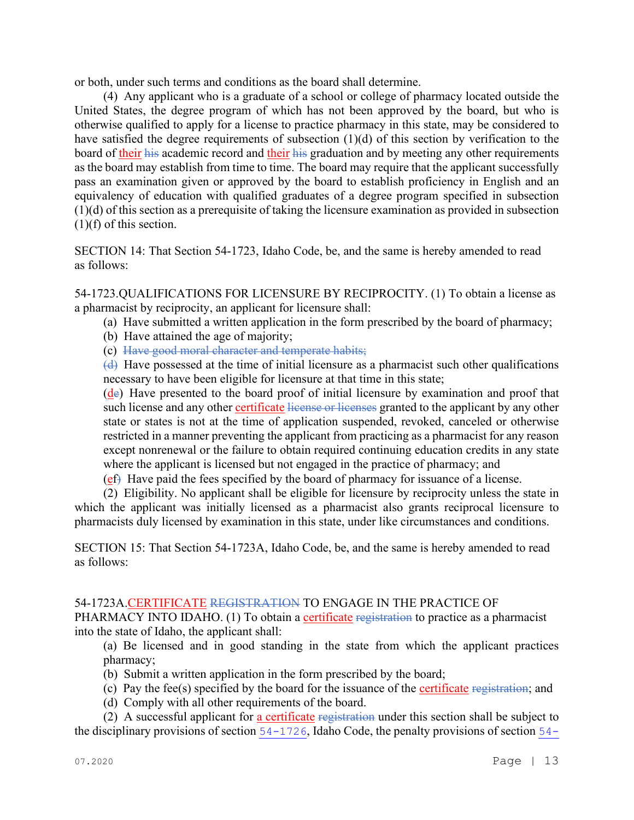or both, under such terms and conditions as the board shall determine.

(4) Any applicant who is a graduate of a school or college of pharmacy located outside the United States, the degree program of which has not been approved by the board, but who is otherwise qualified to apply for a license to practice pharmacy in this state, may be considered to have satisfied the degree requirements of subsection (1)(d) of this section by verification to the board of their his academic record and their his graduation and by meeting any other requirements as the board may establish from time to time. The board may require that the applicant successfully pass an examination given or approved by the board to establish proficiency in English and an equivalency of education with qualified graduates of a degree program specified in subsection (1)(d) of this section as a prerequisite of taking the licensure examination as provided in subsection (1)(f) of this section.

SECTION 14: That Section 54-1723, Idaho Code, be, and the same is hereby amended to read as follows:

54-1723.QUALIFICATIONS FOR LICENSURE BY RECIPROCITY. (1) To obtain a license as a pharmacist by reciprocity, an applicant for licensure shall:

- (a) Have submitted a written application in the form prescribed by the board of pharmacy;
- (b) Have attained the age of majority;
- (c) Have good moral character and temperate habits;

(d) Have possessed at the time of initial licensure as a pharmacist such other qualifications necessary to have been eligible for licensure at that time in this state;

 $(d<sub>e</sub>)$  Have presented to the board proof of initial licensure by examination and proof that such license and any other certificate license or licenses granted to the applicant by any other state or states is not at the time of application suspended, revoked, canceled or otherwise restricted in a manner preventing the applicant from practicing as a pharmacist for any reason except nonrenewal or the failure to obtain required continuing education credits in any state where the applicant is licensed but not engaged in the practice of pharmacy; and

 $(e<sup>f</sup>)$  Have paid the fees specified by the board of pharmacy for issuance of a license.

(2) Eligibility. No applicant shall be eligible for licensure by reciprocity unless the state in which the applicant was initially licensed as a pharmacist also grants reciprocal licensure to pharmacists duly licensed by examination in this state, under like circumstances and conditions.

SECTION 15: That Section 54-1723A, Idaho Code, be, and the same is hereby amended to read as follows:

# 54-1723A.CERTIFICATE REGISTRATION TO ENGAGE IN THE PRACTICE OF

PHARMACY INTO IDAHO. (1) To obtain a certificate registration to practice as a pharmacist into the state of Idaho, the applicant shall:

(a) Be licensed and in good standing in the state from which the applicant practices pharmacy;

- (b) Submit a written application in the form prescribed by the board;
- (c) Pay the fee(s) specified by the board for the issuance of the certificate registration; and
- (d) Comply with all other requirements of the board.

(2) A successful applicant for a certificate registration under this section shall be subject to the disciplinary provisions of section [54-1726](file://admiodine/statutesrules/idstat/Title54/T54CH17/SECT54-1726), Idaho Code, the penalty provisions of section [54-](file://admiodine/statutesrules/idstat/Title54/T54CH17/SECT54-1728)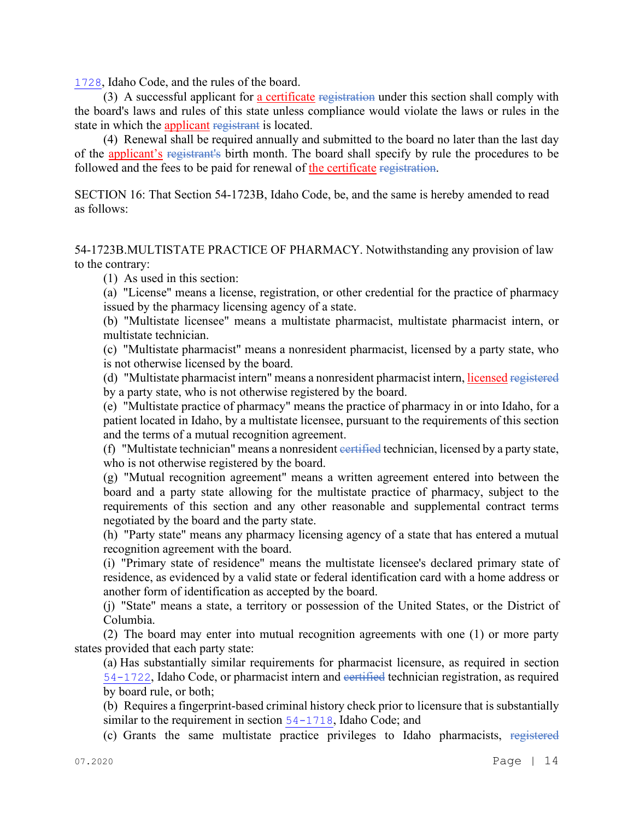[1728](file://admiodine/statutesrules/idstat/Title54/T54CH17/SECT54-1728), Idaho Code, and the rules of the board.

(3) A successful applicant for a certificate registration under this section shall comply with the board's laws and rules of this state unless compliance would violate the laws or rules in the state in which the applicant registrant is located.

(4) Renewal shall be required annually and submitted to the board no later than the last day of the applicant's registrant's birth month. The board shall specify by rule the procedures to be followed and the fees to be paid for renewal of the certificate registration.

SECTION 16: That Section 54-1723B, Idaho Code, be, and the same is hereby amended to read as follows:

54-1723B.MULTISTATE PRACTICE OF PHARMACY. Notwithstanding any provision of law to the contrary:

(1) As used in this section:

(a) "License" means a license, registration, or other credential for the practice of pharmacy issued by the pharmacy licensing agency of a state.

(b) "Multistate licensee" means a multistate pharmacist, multistate pharmacist intern, or multistate technician.

(c) "Multistate pharmacist" means a nonresident pharmacist, licensed by a party state, who is not otherwise licensed by the board.

(d) "Multistate pharmacist intern" means a nonresident pharmacist intern, licensed registered by a party state, who is not otherwise registered by the board.

(e) "Multistate practice of pharmacy" means the practice of pharmacy in or into Idaho, for a patient located in Idaho, by a multistate licensee, pursuant to the requirements of this section and the terms of a mutual recognition agreement.

(f) "Multistate technician" means a nonresident eertified technician, licensed by a party state, who is not otherwise registered by the board.

(g) "Mutual recognition agreement" means a written agreement entered into between the board and a party state allowing for the multistate practice of pharmacy, subject to the requirements of this section and any other reasonable and supplemental contract terms negotiated by the board and the party state.

(h) "Party state" means any pharmacy licensing agency of a state that has entered a mutual recognition agreement with the board.

(i) "Primary state of residence" means the multistate licensee's declared primary state of residence, as evidenced by a valid state or federal identification card with a home address or another form of identification as accepted by the board.

(j) "State" means a state, a territory or possession of the United States, or the District of Columbia.

(2) The board may enter into mutual recognition agreements with one (1) or more party states provided that each party state:

(a) Has substantially similar requirements for pharmacist licensure, as required in section [54-1722](file://admiodine/statutesrules/idstat/Title54/T54CH17/SECT54-1722), Idaho Code, or pharmacist intern and certified technician registration, as required by board rule, or both;

(b) Requires a fingerprint-based criminal history check prior to licensure that is substantially similar to the requirement in section [54-1718](file://admiodine/statutesrules/idstat/Title54/T54CH17/SECT54-1718), Idaho Code; and

(c) Grants the same multistate practice privileges to Idaho pharmacists, registered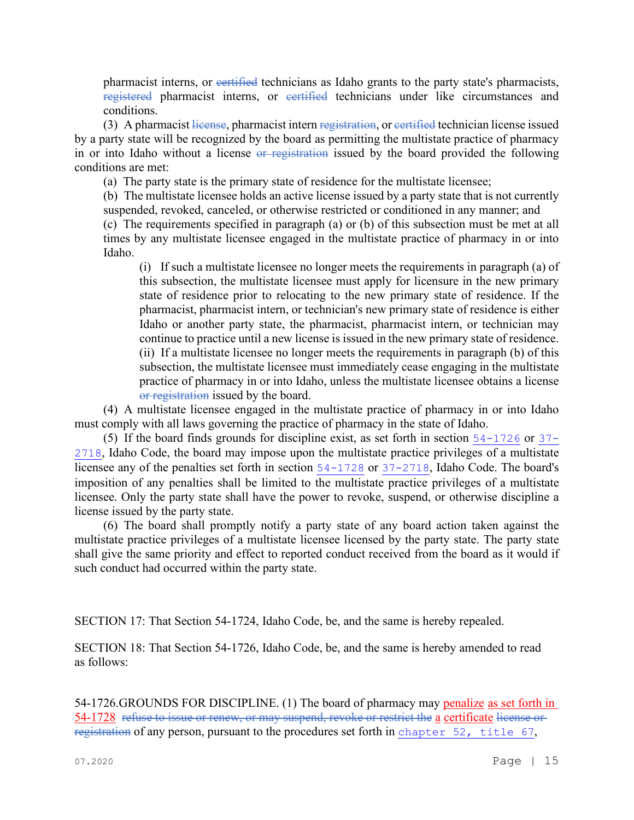pharmacist interns, or evertified technicians as Idaho grants to the party state's pharmacists, registered pharmacist interns, or certified technicians under like circumstances and conditions.

(3) A pharmacist license, pharmacist intern registration, or eertified technician license issued by a party state will be recognized by the board as permitting the multistate practice of pharmacy in or into Idaho without a license or registration issued by the board provided the following conditions are met:

(a) The party state is the primary state of residence for the multistate licensee;

(b) The multistate licensee holds an active license issued by a party state that is not currently suspended, revoked, canceled, or otherwise restricted or conditioned in any manner; and

(c) The requirements specified in paragraph (a) or (b) of this subsection must be met at all times by any multistate licensee engaged in the multistate practice of pharmacy in or into Idaho.

(i) If such a multistate licensee no longer meets the requirements in paragraph (a) of this subsection, the multistate licensee must apply for licensure in the new primary state of residence prior to relocating to the new primary state of residence. If the pharmacist, pharmacist intern, or technician's new primary state of residence is either Idaho or another party state, the pharmacist, pharmacist intern, or technician may continue to practice until a new license is issued in the new primary state of residence. (ii) If a multistate licensee no longer meets the requirements in paragraph (b) of this subsection, the multistate licensee must immediately cease engaging in the multistate practice of pharmacy in or into Idaho, unless the multistate licensee obtains a license or registration issued by the board.

(4) A multistate licensee engaged in the multistate practice of pharmacy in or into Idaho must comply with all laws governing the practice of pharmacy in the state of Idaho.

(5) If the board finds grounds for discipline exist, as set forth in section [54-1726](file://admiodine/statutesrules/idstat/Title54/T54CH17/SECT54-1726) or [37-](file://admiodine/statutesrules/idstat/Title37/T37CH27/SECT37-2718) [2718](file://admiodine/statutesrules/idstat/Title37/T37CH27/SECT37-2718), Idaho Code, the board may impose upon the multistate practice privileges of a multistate licensee any of the penalties set forth in section [54-1728](file://admiodine/statutesrules/idstat/Title54/T54CH17/SECT54-1728) or [37-2718](file://admiodine/statutesrules/idstat/Title37/T37CH27/SECT37-2718), Idaho Code. The board's imposition of any penalties shall be limited to the multistate practice privileges of a multistate licensee. Only the party state shall have the power to revoke, suspend, or otherwise discipline a license issued by the party state.

(6) The board shall promptly notify a party state of any board action taken against the multistate practice privileges of a multistate licensee licensed by the party state. The party state shall give the same priority and effect to reported conduct received from the board as it would if such conduct had occurred within the party state.

SECTION 17: That Section 54-1724, Idaho Code, be, and the same is hereby repealed.

SECTION 18: That Section 54-1726, Idaho Code, be, and the same is hereby amended to read as follows:

54-1726.GROUNDS FOR DISCIPLINE. (1) The board of pharmacy may penalize as set forth in 54-1728 refuse to issue or renew, or may suspend, revoke or restrict the a certificate license or registration of any person, pursuant to the procedures set forth in [chapter 52, title 67](file://admiodine/statutesrules/idstat/Title67/T67CH52),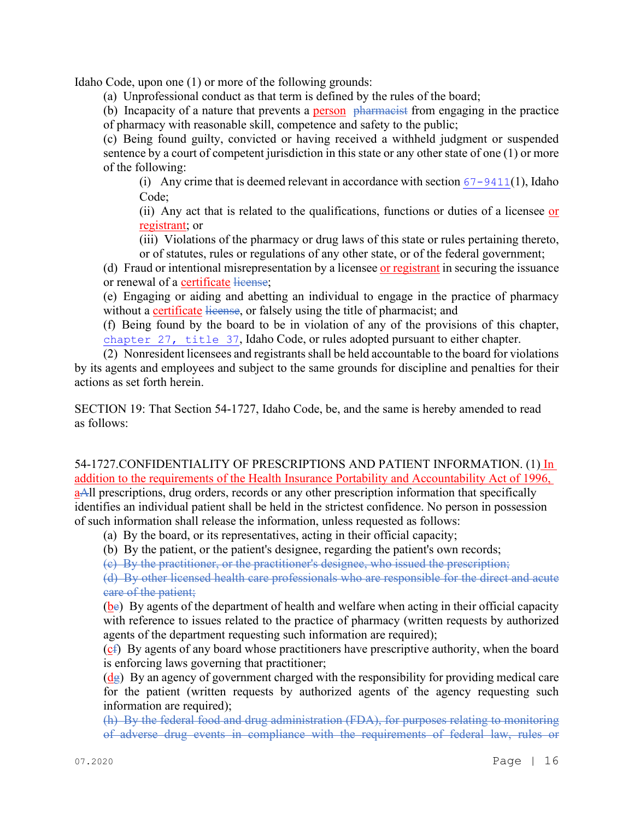Idaho Code, upon one (1) or more of the following grounds:

(a) Unprofessional conduct as that term is defined by the rules of the board;

(b) Incapacity of a nature that prevents a **person**  $\theta$  pharmacist from engaging in the practice of pharmacy with reasonable skill, competence and safety to the public;

(c) Being found guilty, convicted or having received a withheld judgment or suspended sentence by a court of competent jurisdiction in this state or any other state of one (1) or more of the following:

(i) Any crime that is deemed relevant in accordance with section  $67 - 9411(1)$ , Idaho Code;

(ii) Any act that is related to the qualifications, functions or duties of a licensee or registrant; or

(iii) Violations of the pharmacy or drug laws of this state or rules pertaining thereto, or of statutes, rules or regulations of any other state, or of the federal government;

(d) Fraud or intentional misrepresentation by a licensee or registrant in securing the issuance or renewal of a certificate license;

(e) Engaging or aiding and abetting an individual to engage in the practice of pharmacy without a certificate license, or falsely using the title of pharmacist; and

(f) Being found by the board to be in violation of any of the provisions of this chapter, [chapter 27, title 37](file://admiodine/statutesrules/idstat/Title37/T37CH27), Idaho Code, or rules adopted pursuant to either chapter.

(2) Nonresident licensees and registrants shall be held accountable to the board for violations by its agents and employees and subject to the same grounds for discipline and penalties for their actions as set forth herein.

SECTION 19: That Section 54-1727, Idaho Code, be, and the same is hereby amended to read as follows:

54-1727.CONFIDENTIALITY OF PRESCRIPTIONS AND PATIENT INFORMATION. (1) In addition to the requirements of the Health Insurance Portability and Accountability Act of 1996, aAll prescriptions, drug orders, records or any other prescription information that specifically identifies an individual patient shall be held in the strictest confidence. No person in possession of such information shall release the information, unless requested as follows:

(a) By the board, or its representatives, acting in their official capacity;

(b) By the patient, or the patient's designee, regarding the patient's own records;

(c) By the practitioner, or the practitioner's designee, who issued the prescription;

(d) By other licensed health care professionals who are responsible for the direct and acute care of the patient;

(be) By agents of the department of health and welfare when acting in their official capacity with reference to issues related to the practice of pharmacy (written requests by authorized agents of the department requesting such information are required);

(cf) By agents of any board whose practitioners have prescriptive authority, when the board is enforcing laws governing that practitioner;

 $(d_{\mathcal{E}})$  By an agency of government charged with the responsibility for providing medical care for the patient (written requests by authorized agents of the agency requesting such information are required);

(h) By the federal food and drug administration (FDA), for purposes relating to monitoring of adverse drug events in compliance with the requirements of federal law, rules or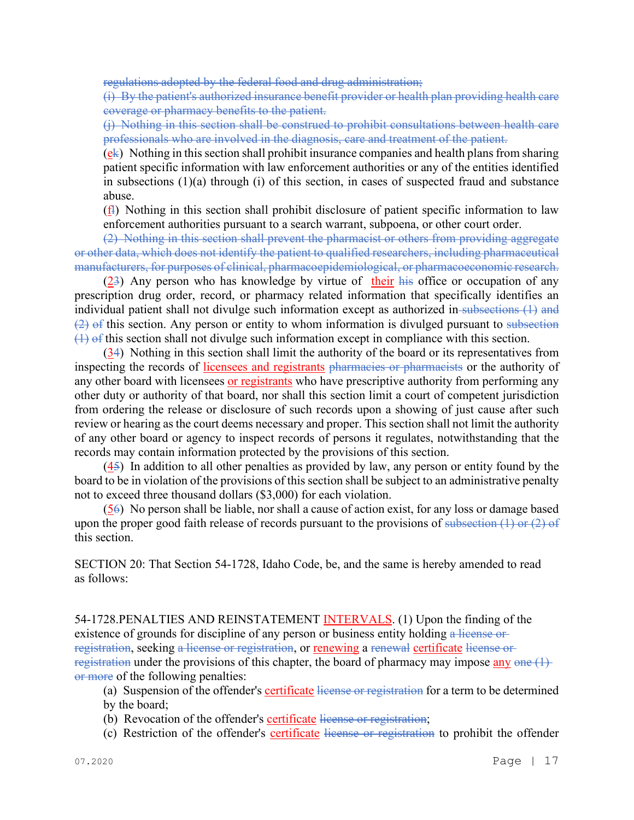regulations adopted by the federal food and drug administration;

(i) By the patient's authorized insurance benefit provider or health plan providing health care coverage or pharmacy benefits to the patient.

(j) Nothing in this section shall be construed to prohibit consultations between health care professionals who are involved in the diagnosis, care and treatment of the patient.

 $(ek)$  Nothing in this section shall prohibit insurance companies and health plans from sharing patient specific information with law enforcement authorities or any of the entities identified in subsections (1)(a) through (i) of this section, in cases of suspected fraud and substance abuse.

(fl) Nothing in this section shall prohibit disclosure of patient specific information to law enforcement authorities pursuant to a search warrant, subpoena, or other court order.

(2) Nothing in this section shall prevent the pharmacist or others from providing aggregate or other data, which does not identify the patient to qualified researchers, including pharmaceutical manufacturers, for purposes of clinical, pharmacoepidemiological, or pharmacoeconomic research.

(23) Any person who has knowledge by virtue of their his office or occupation of any prescription drug order, record, or pharmacy related information that specifically identifies an individual patient shall not divulge such information except as authorized in subsections (1) and  $(2)$  of this section. Any person or entity to whom information is divulged pursuant to subsection  $(1)$  of this section shall not divulge such information except in compliance with this section.

(34) Nothing in this section shall limit the authority of the board or its representatives from inspecting the records of licensees and registrants pharmacies or pharmacists or the authority of any other board with licensees or registrants who have prescriptive authority from performing any other duty or authority of that board, nor shall this section limit a court of competent jurisdiction from ordering the release or disclosure of such records upon a showing of just cause after such review or hearing as the court deems necessary and proper. This section shall not limit the authority of any other board or agency to inspect records of persons it regulates, notwithstanding that the records may contain information protected by the provisions of this section.

(45) In addition to all other penalties as provided by law, any person or entity found by the board to be in violation of the provisions of this section shall be subject to an administrative penalty not to exceed three thousand dollars (\$3,000) for each violation.

(56) No person shall be liable, nor shall a cause of action exist, for any loss or damage based upon the proper good faith release of records pursuant to the provisions of subsection  $(1)$  or  $(2)$  of this section.

SECTION 20: That Section 54-1728, Idaho Code, be, and the same is hereby amended to read as follows:

54-1728.PENALTIES AND REINSTATEMENT INTERVALS. (1) Upon the finding of the existence of grounds for discipline of any person or business entity holding a license or registration, seeking a license or registration, or renewing a renewal certificate license or registration under the provisions of this chapter, the board of pharmacy may impose  $\frac{any \cdot one}{1}$ or more of the following penalties:

(a) Suspension of the offender's certificate license or registration for a term to be determined by the board;

- (b) Revocation of the offender's certificate license or registration;
- (c) Restriction of the offender's certificate license or registration to prohibit the offender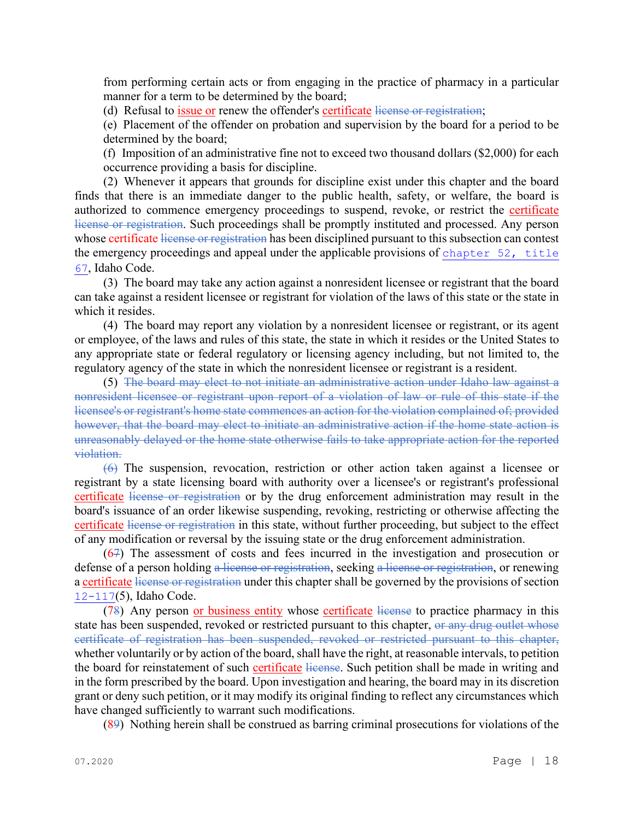from performing certain acts or from engaging in the practice of pharmacy in a particular manner for a term to be determined by the board;

(d) Refusal to *issue or* renew the offender's certificate license or registration;

(e) Placement of the offender on probation and supervision by the board for a period to be determined by the board;

(f) Imposition of an administrative fine not to exceed two thousand dollars (\$2,000) for each occurrence providing a basis for discipline.

(2) Whenever it appears that grounds for discipline exist under this chapter and the board finds that there is an immediate danger to the public health, safety, or welfare, the board is authorized to commence emergency proceedings to suspend, revoke, or restrict the certificate license or registration. Such proceedings shall be promptly instituted and processed. Any person whose certificate license or registration has been disciplined pursuant to this subsection can contest the emergency proceedings and appeal under the applicable provisions of [chapter 52, title](file://admiodine/statutesrules/idstat/Title67/T67CH52)  [67](file://admiodine/statutesrules/idstat/Title67/T67CH52), Idaho Code.

(3) The board may take any action against a nonresident licensee or registrant that the board can take against a resident licensee or registrant for violation of the laws of this state or the state in which it resides.

(4) The board may report any violation by a nonresident licensee or registrant, or its agent or employee, of the laws and rules of this state, the state in which it resides or the United States to any appropriate state or federal regulatory or licensing agency including, but not limited to, the regulatory agency of the state in which the nonresident licensee or registrant is a resident.

(5) The board may elect to not initiate an administrative action under Idaho law against a nonresident licensee or registrant upon report of a violation of law or rule of this state if the licensee's or registrant's home state commences an action for the violation complained of; provided however, that the board may elect to initiate an administrative action if the home state action is unreasonably delayed or the home state otherwise fails to take appropriate action for the reported violation.

(6) The suspension, revocation, restriction or other action taken against a licensee or registrant by a state licensing board with authority over a licensee's or registrant's professional certificate license or registration or by the drug enforcement administration may result in the board's issuance of an order likewise suspending, revoking, restricting or otherwise affecting the certificate license or registration in this state, without further proceeding, but subject to the effect of any modification or reversal by the issuing state or the drug enforcement administration.

(67) The assessment of costs and fees incurred in the investigation and prosecution or defense of a person holding a license or registration, seeking a license or registration, or renewing a certificate license or registration under this chapter shall be governed by the provisions of section [12-117](file://admiodine/statutesrules/idstat/Title12/T12CH1/SECT12-117)(5), Idaho Code.

(78) Any person or business entity whose certificate license to practice pharmacy in this state has been suspended, revoked or restricted pursuant to this chapter, or any drug outlet whose certificate of registration has been suspended, revoked or restricted pursuant to this chapter, whether voluntarily or by action of the board, shall have the right, at reasonable intervals, to petition the board for reinstatement of such certificate license. Such petition shall be made in writing and in the form prescribed by the board. Upon investigation and hearing, the board may in its discretion grant or deny such petition, or it may modify its original finding to reflect any circumstances which have changed sufficiently to warrant such modifications.

(89) Nothing herein shall be construed as barring criminal prosecutions for violations of the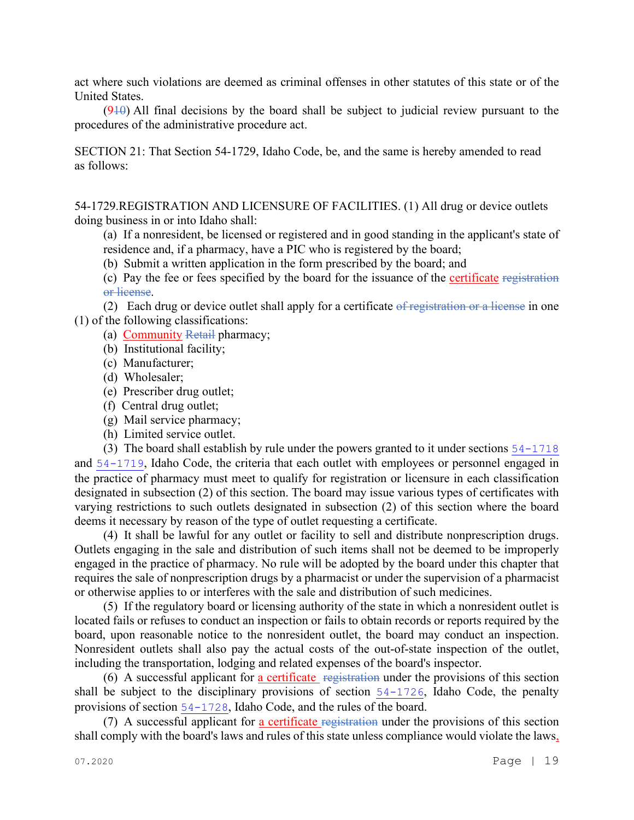act where such violations are deemed as criminal offenses in other statutes of this state or of the United States.

 $(910)$  All final decisions by the board shall be subject to judicial review pursuant to the procedures of the administrative procedure act.

SECTION 21: That Section 54-1729, Idaho Code, be, and the same is hereby amended to read as follows:

54-1729.REGISTRATION AND LICENSURE OF FACILITIES. (1) All drug or device outlets doing business in or into Idaho shall:

(a) If a nonresident, be licensed or registered and in good standing in the applicant's state of residence and, if a pharmacy, have a PIC who is registered by the board;

(b) Submit a written application in the form prescribed by the board; and

(c) Pay the fee or fees specified by the board for the issuance of the certificate registration or license.

(2) Each drug or device outlet shall apply for a certificate  $\theta$  registration or a license in one (1) of the following classifications:

(a) Community Retail pharmacy;

(b) Institutional facility;

(c) Manufacturer;

(d) Wholesaler;

(e) Prescriber drug outlet;

(f) Central drug outlet;

(g) Mail service pharmacy;

(h) Limited service outlet.

(3) The board shall establish by rule under the powers granted to it under sections [54-1718](file://admiodine/statutesrules/idstat/Title54/T54CH17/SECT54-1718) and [54-1719](file://admiodine/statutesrules/idstat/Title54/T54CH17/SECT54-1719), Idaho Code, the criteria that each outlet with employees or personnel engaged in the practice of pharmacy must meet to qualify for registration or licensure in each classification designated in subsection (2) of this section. The board may issue various types of certificates with varying restrictions to such outlets designated in subsection (2) of this section where the board deems it necessary by reason of the type of outlet requesting a certificate.

(4) It shall be lawful for any outlet or facility to sell and distribute nonprescription drugs. Outlets engaging in the sale and distribution of such items shall not be deemed to be improperly engaged in the practice of pharmacy. No rule will be adopted by the board under this chapter that requires the sale of nonprescription drugs by a pharmacist or under the supervision of a pharmacist or otherwise applies to or interferes with the sale and distribution of such medicines.

(5) If the regulatory board or licensing authority of the state in which a nonresident outlet is located fails or refuses to conduct an inspection or fails to obtain records or reports required by the board, upon reasonable notice to the nonresident outlet, the board may conduct an inspection. Nonresident outlets shall also pay the actual costs of the out-of-state inspection of the outlet, including the transportation, lodging and related expenses of the board's inspector.

(6) A successful applicant for a certificate registration under the provisions of this section shall be subject to the disciplinary provisions of section [54-1726](file://admiodine/statutesrules/idstat/Title54/T54CH17/SECT54-1726), Idaho Code, the penalty provisions of section [54-1728](file://admiodine/statutesrules/idstat/Title54/T54CH17/SECT54-1728), Idaho Code, and the rules of the board.

(7) A successful applicant for a certificate registration under the provisions of this section shall comply with the board's laws and rules of this state unless compliance would violate the laws,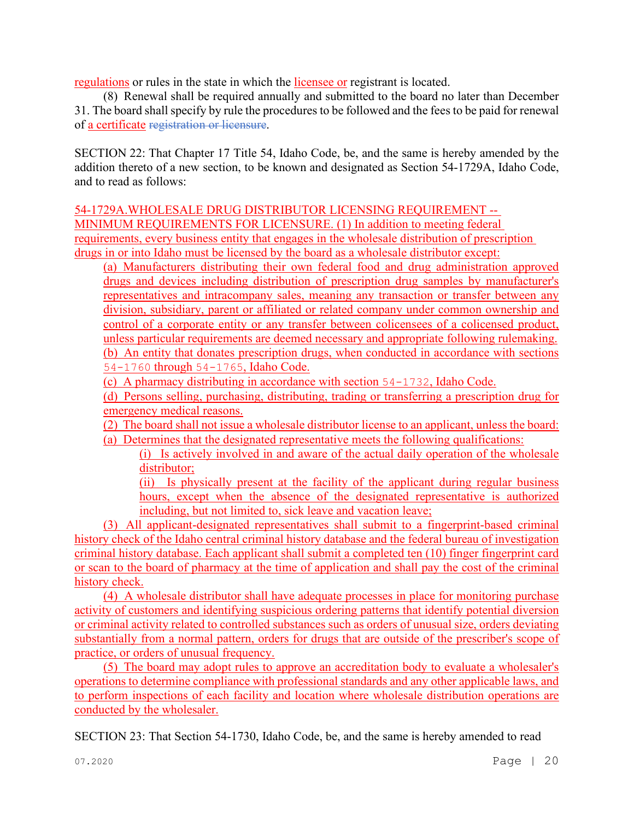regulations or rules in the state in which the licensee or registrant is located.

(8) Renewal shall be required annually and submitted to the board no later than December 31. The board shall specify by rule the procedures to be followed and the fees to be paid for renewal of a certificate registration or licensure.

SECTION 22: That Chapter 17 Title 54, Idaho Code, be, and the same is hereby amended by the addition thereto of a new section, to be known and designated as Section 54-1729A, Idaho Code, and to read as follows:

54-1729A.WHOLESALE DRUG DISTRIBUTOR LICENSING REQUIREMENT -- MINIMUM REQUIREMENTS FOR LICENSURE. (1) In addition to meeting federal requirements, every business entity that engages in the wholesale distribution of prescription drugs in or into Idaho must be licensed by the board as a wholesale distributor except:

(a) Manufacturers distributing their own federal food and drug administration approved drugs and devices including distribution of prescription drug samples by manufacturer's representatives and intracompany sales, meaning any transaction or transfer between any division, subsidiary, parent or affiliated or related company under common ownership and control of a corporate entity or any transfer between colicensees of a colicensed product, unless particular requirements are deemed necessary and appropriate following rulemaking. (b) An entity that donates prescription drugs, when conducted in accordance with sections [54-1760](https://legislature.idaho.gov/statutesrules/idstat/Title54/T54CH17SECT54-1760) through [54-1765](https://legislature.idaho.gov/statutesrules/idstat/Title54/T54CH17SECT54-1765), Idaho Code.

(c) A pharmacy distributing in accordance with section [54-1732](https://legislature.idaho.gov/statutesrules/idstat/Title54/T54CH17SECT54-1732), Idaho Code.

(d) Persons selling, purchasing, distributing, trading or transferring a prescription drug for emergency medical reasons.

(2) The board shall not issue a wholesale distributor license to an applicant, unless the board:

(a) Determines that the designated representative meets the following qualifications:

(i) Is actively involved in and aware of the actual daily operation of the wholesale distributor;

(ii) Is physically present at the facility of the applicant during regular business hours, except when the absence of the designated representative is authorized including, but not limited to, sick leave and vacation leave;

(3) All applicant-designated representatives shall submit to a fingerprint-based criminal history check of the Idaho central criminal history database and the federal bureau of investigation criminal history database. Each applicant shall submit a completed ten (10) finger fingerprint card or scan to the board of pharmacy at the time of application and shall pay the cost of the criminal history check.

(4) A wholesale distributor shall have adequate processes in place for monitoring purchase activity of customers and identifying suspicious ordering patterns that identify potential diversion or criminal activity related to controlled substances such as orders of unusual size, orders deviating substantially from a normal pattern, orders for drugs that are outside of the prescriber's scope of practice, or orders of unusual frequency.

(5) The board may adopt rules to approve an accreditation body to evaluate a wholesaler's operations to determine compliance with professional standards and any other applicable laws, and to perform inspections of each facility and location where wholesale distribution operations are conducted by the wholesaler.

SECTION 23: That Section 54-1730, Idaho Code, be, and the same is hereby amended to read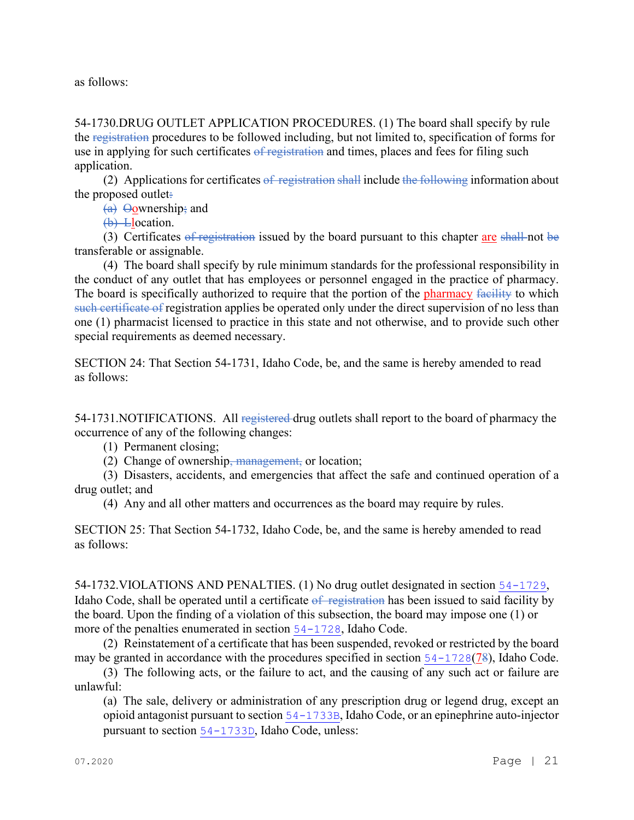as follows:

54-1730.DRUG OUTLET APPLICATION PROCEDURES. (1) The board shall specify by rule the registration procedures to be followed including, but not limited to, specification of forms for use in applying for such certificates of registration and times, places and fees for filing such application.

(2) Applications for certificates  $\frac{1}{2}$  registration shall include the following information about the proposed outlet.

(a) Oownership; and

(b) Llocation.

(3) Certificates of registration issued by the board pursuant to this chapter are shall not be transferable or assignable.

(4) The board shall specify by rule minimum standards for the professional responsibility in the conduct of any outlet that has employees or personnel engaged in the practice of pharmacy. The board is specifically authorized to require that the portion of the pharmacy facility to which such certificate of registration applies be operated only under the direct supervision of no less than one (1) pharmacist licensed to practice in this state and not otherwise, and to provide such other special requirements as deemed necessary.

SECTION 24: That Section 54-1731, Idaho Code, be, and the same is hereby amended to read as follows:

54-1731.NOTIFICATIONS. All registered drug outlets shall report to the board of pharmacy the occurrence of any of the following changes:

(1) Permanent closing;

(2) Change of ownership, management, or location;

(3) Disasters, accidents, and emergencies that affect the safe and continued operation of a drug outlet; and

(4) Any and all other matters and occurrences as the board may require by rules.

SECTION 25: That Section 54-1732, Idaho Code, be, and the same is hereby amended to read as follows:

54-1732.VIOLATIONS AND PENALTIES. (1) No drug outlet designated in section [54-1729](file://admiodine/statutesrules/idstat/Title54/T54CH17/SECT54-1729), Idaho Code, shall be operated until a certificate of registration has been issued to said facility by the board. Upon the finding of a violation of this subsection, the board may impose one (1) or more of the penalties enumerated in section [54-1728](file://admiodine/statutesrules/idstat/Title54/T54CH17/SECT54-1728), Idaho Code.

(2) Reinstatement of a certificate that has been suspended, revoked or restricted by the board may be granted in accordance with the procedures specified in section  $54-1728(78)$  $54-1728(78)$ , Idaho Code.

(3) The following acts, or the failure to act, and the causing of any such act or failure are unlawful:

(a) The sale, delivery or administration of any prescription drug or legend drug, except an opioid antagonist pursuant to section [54-1733B](file://admiodine/statutesrules/idstat/Title54/T54CH17/SECT54-1733B), Idaho Code, or an epinephrine auto-injector pursuant to section [54-1733D](file://admiodine/statutesrules/idstat/Title54/T54CH17/SECT54-1733D), Idaho Code, unless: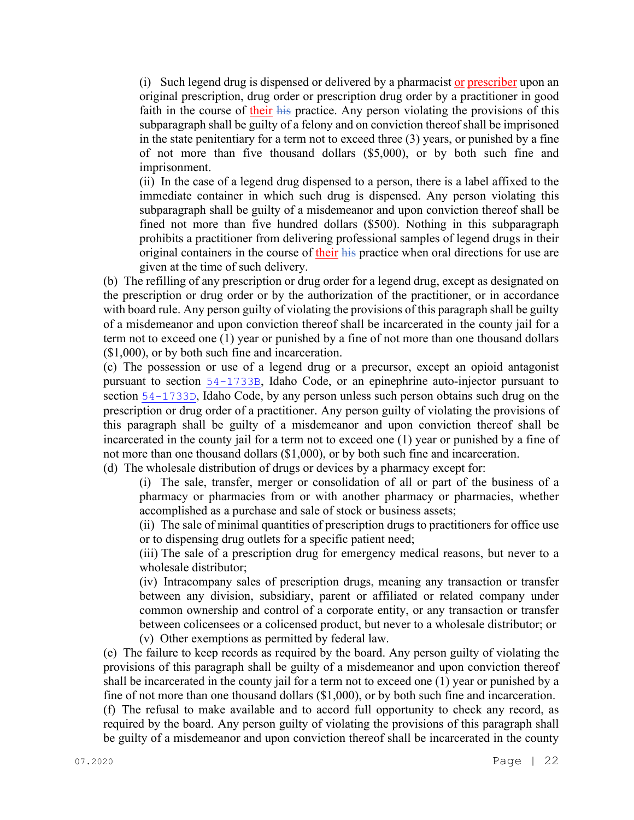(i) Such legend drug is dispensed or delivered by a pharmacist or prescriber upon an original prescription, drug order or prescription drug order by a practitioner in good faith in the course of their his practice. Any person violating the provisions of this subparagraph shall be guilty of a felony and on conviction thereof shall be imprisoned in the state penitentiary for a term not to exceed three (3) years, or punished by a fine of not more than five thousand dollars (\$5,000), or by both such fine and imprisonment.

(ii) In the case of a legend drug dispensed to a person, there is a label affixed to the immediate container in which such drug is dispensed. Any person violating this subparagraph shall be guilty of a misdemeanor and upon conviction thereof shall be fined not more than five hundred dollars (\$500). Nothing in this subparagraph prohibits a practitioner from delivering professional samples of legend drugs in their original containers in the course of their his practice when oral directions for use are given at the time of such delivery.

(b) The refilling of any prescription or drug order for a legend drug, except as designated on the prescription or drug order or by the authorization of the practitioner, or in accordance with board rule. Any person guilty of violating the provisions of this paragraph shall be guilty of a misdemeanor and upon conviction thereof shall be incarcerated in the county jail for a term not to exceed one (1) year or punished by a fine of not more than one thousand dollars (\$1,000), or by both such fine and incarceration.

(c) The possession or use of a legend drug or a precursor, except an opioid antagonist pursuant to section [54-1733B](file://admiodine/statutesrules/idstat/Title54/T54CH17/SECT54-1733B), Idaho Code, or an epinephrine auto-injector pursuant to section [54-1733D](file://admiodine/statutesrules/idstat/Title54/T54CH17/SECT54-1733D), Idaho Code, by any person unless such person obtains such drug on the prescription or drug order of a practitioner. Any person guilty of violating the provisions of this paragraph shall be guilty of a misdemeanor and upon conviction thereof shall be incarcerated in the county jail for a term not to exceed one (1) year or punished by a fine of not more than one thousand dollars (\$1,000), or by both such fine and incarceration.

(d) The wholesale distribution of drugs or devices by a pharmacy except for:

(i) The sale, transfer, merger or consolidation of all or part of the business of a pharmacy or pharmacies from or with another pharmacy or pharmacies, whether accomplished as a purchase and sale of stock or business assets;

(ii) The sale of minimal quantities of prescription drugs to practitioners for office use or to dispensing drug outlets for a specific patient need;

(iii) The sale of a prescription drug for emergency medical reasons, but never to a wholesale distributor;

(iv) Intracompany sales of prescription drugs, meaning any transaction or transfer between any division, subsidiary, parent or affiliated or related company under common ownership and control of a corporate entity, or any transaction or transfer between colicensees or a colicensed product, but never to a wholesale distributor; or

(v) Other exemptions as permitted by federal law.

(e) The failure to keep records as required by the board. Any person guilty of violating the provisions of this paragraph shall be guilty of a misdemeanor and upon conviction thereof shall be incarcerated in the county jail for a term not to exceed one (1) year or punished by a fine of not more than one thousand dollars (\$1,000), or by both such fine and incarceration.

(f) The refusal to make available and to accord full opportunity to check any record, as required by the board. Any person guilty of violating the provisions of this paragraph shall be guilty of a misdemeanor and upon conviction thereof shall be incarcerated in the county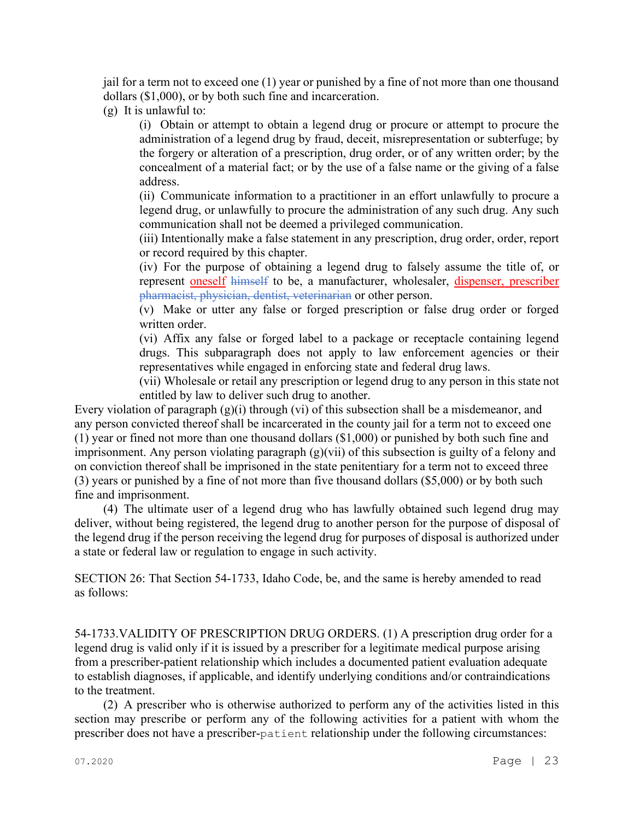jail for a term not to exceed one (1) year or punished by a fine of not more than one thousand dollars (\$1,000), or by both such fine and incarceration.

(g) It is unlawful to:

(i) Obtain or attempt to obtain a legend drug or procure or attempt to procure the administration of a legend drug by fraud, deceit, misrepresentation or subterfuge; by the forgery or alteration of a prescription, drug order, or of any written order; by the concealment of a material fact; or by the use of a false name or the giving of a false address.

(ii) Communicate information to a practitioner in an effort unlawfully to procure a legend drug, or unlawfully to procure the administration of any such drug. Any such communication shall not be deemed a privileged communication.

(iii) Intentionally make a false statement in any prescription, drug order, order, report or record required by this chapter.

(iv) For the purpose of obtaining a legend drug to falsely assume the title of, or represent oneself himself to be, a manufacturer, wholesaler, dispenser, prescriber pharmacist, physician, dentist, veterinarian or other person.

(v) Make or utter any false or forged prescription or false drug order or forged written order.

(vi) Affix any false or forged label to a package or receptacle containing legend drugs. This subparagraph does not apply to law enforcement agencies or their representatives while engaged in enforcing state and federal drug laws.

(vii) Wholesale or retail any prescription or legend drug to any person in this state not entitled by law to deliver such drug to another.

Every violation of paragraph  $(g)(i)$  through (vi) of this subsection shall be a misdemeanor, and any person convicted thereof shall be incarcerated in the county jail for a term not to exceed one (1) year or fined not more than one thousand dollars (\$1,000) or punished by both such fine and imprisonment. Any person violating paragraph (g)(vii) of this subsection is guilty of a felony and on conviction thereof shall be imprisoned in the state penitentiary for a term not to exceed three (3) years or punished by a fine of not more than five thousand dollars (\$5,000) or by both such fine and imprisonment.

(4) The ultimate user of a legend drug who has lawfully obtained such legend drug may deliver, without being registered, the legend drug to another person for the purpose of disposal of the legend drug if the person receiving the legend drug for purposes of disposal is authorized under a state or federal law or regulation to engage in such activity.

SECTION 26: That Section 54-1733, Idaho Code, be, and the same is hereby amended to read as follows:

54-1733.VALIDITY OF PRESCRIPTION DRUG ORDERS. (1) A prescription drug order for a legend drug is valid only if it is issued by a prescriber for a legitimate medical purpose arising from a prescriber-patient relationship which includes a documented patient evaluation adequate to establish diagnoses, if applicable, and identify underlying conditions and/or contraindications to the treatment.

(2) A prescriber who is otherwise authorized to perform any of the activities listed in this section may prescribe or perform any of the following activities for a patient with whom the prescriber does not have a prescriber-patient relationship under the following circumstances: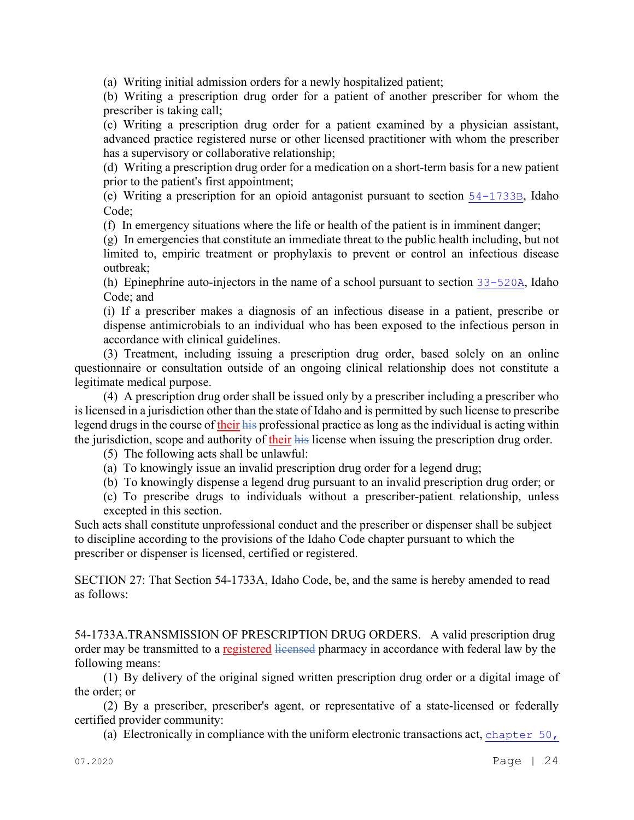(a) Writing initial admission orders for a newly hospitalized patient;

(b) Writing a prescription drug order for a patient of another prescriber for whom the prescriber is taking call;

(c) Writing a prescription drug order for a patient examined by a physician assistant, advanced practice registered nurse or other licensed practitioner with whom the prescriber has a supervisory or collaborative relationship;

(d) Writing a prescription drug order for a medication on a short-term basis for a new patient prior to the patient's first appointment;

(e) Writing a prescription for an opioid antagonist pursuant to section [54-1733B](file://admiodine/statutesrules/idstat/Title54/T54CH17/SECT54-1733B), Idaho Code;

(f) In emergency situations where the life or health of the patient is in imminent danger;

(g) In emergencies that constitute an immediate threat to the public health including, but not limited to, empiric treatment or prophylaxis to prevent or control an infectious disease outbreak;

(h) Epinephrine auto-injectors in the name of a school pursuant to section [33-520A](file://admiodine/statutesrules/idstat/Title33/T33CH5/SECT33-520A), Idaho Code; and

(i) If a prescriber makes a diagnosis of an infectious disease in a patient, prescribe or dispense antimicrobials to an individual who has been exposed to the infectious person in accordance with clinical guidelines.

(3) Treatment, including issuing a prescription drug order, based solely on an online questionnaire or consultation outside of an ongoing clinical relationship does not constitute a legitimate medical purpose.

(4) A prescription drug order shall be issued only by a prescriber including a prescriber who is licensed in a jurisdiction other than the state of Idaho and is permitted by such license to prescribe legend drugs in the course of their his professional practice as long as the individual is acting within the jurisdiction, scope and authority of their his license when issuing the prescription drug order.

(5) The following acts shall be unlawful:

(a) To knowingly issue an invalid prescription drug order for a legend drug;

(b) To knowingly dispense a legend drug pursuant to an invalid prescription drug order; or

(c) To prescribe drugs to individuals without a prescriber-patient relationship, unless excepted in this section.

Such acts shall constitute unprofessional conduct and the prescriber or dispenser shall be subject to discipline according to the provisions of the Idaho Code chapter pursuant to which the prescriber or dispenser is licensed, certified or registered.

SECTION 27: That Section 54-1733A, Idaho Code, be, and the same is hereby amended to read as follows:

54-1733A.TRANSMISSION OF PRESCRIPTION DRUG ORDERS. A valid prescription drug order may be transmitted to a registered licensed pharmacy in accordance with federal law by the following means:

(1) By delivery of the original signed written prescription drug order or a digital image of the order; or

(2) By a prescriber, prescriber's agent, or representative of a state-licensed or federally certified provider community:

(a) Electronically in compliance with the uniform electronic transactions act, [chapter 50,](file://admiodine/statutesrules/idstat/Title28/T28CH50)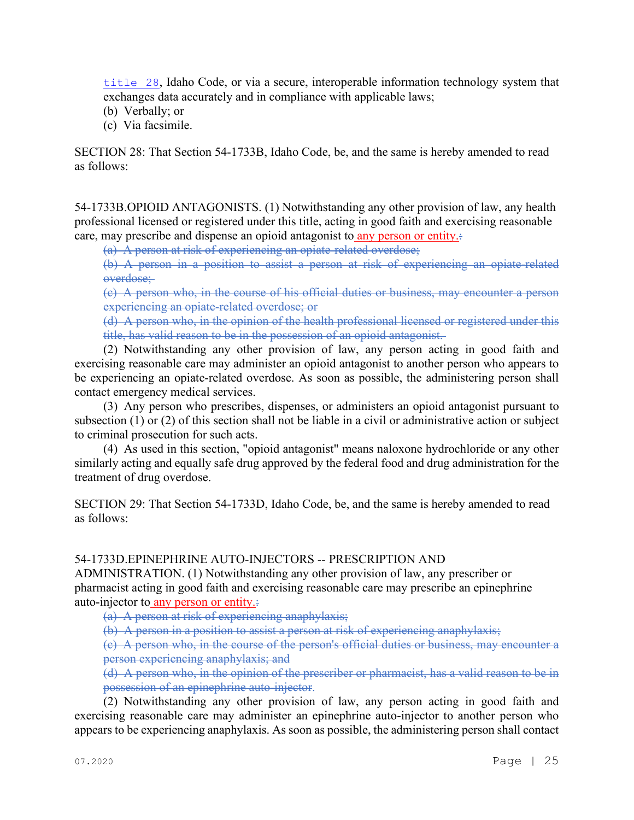[title 28](file://admiodine/statutesrules/idstat/Title28/T28CH50), Idaho Code, or via a secure, interoperable information technology system that exchanges data accurately and in compliance with applicable laws;

- (b) Verbally; or
- (c) Via facsimile.

SECTION 28: That Section 54-1733B, Idaho Code, be, and the same is hereby amended to read as follows:

54-1733B.OPIOID ANTAGONISTS. (1) Notwithstanding any other provision of law, any health professional licensed or registered under this title, acting in good faith and exercising reasonable care, may prescribe and dispense an opioid antagonist to any person or entity.:

(a) A person at risk of experiencing an opiate-related overdose;

(b) A person in a position to assist a person at risk of experiencing an opiate-related overdose;

(c) A person who, in the course of his official duties or business, may encounter a person experiencing an opiate-related overdose; or

(d) A person who, in the opinion of the health professional licensed or registered under this title, has valid reason to be in the possession of an opioid antagonist.

(2) Notwithstanding any other provision of law, any person acting in good faith and exercising reasonable care may administer an opioid antagonist to another person who appears to be experiencing an opiate-related overdose. As soon as possible, the administering person shall contact emergency medical services.

(3) Any person who prescribes, dispenses, or administers an opioid antagonist pursuant to subsection (1) or (2) of this section shall not be liable in a civil or administrative action or subject to criminal prosecution for such acts.

(4) As used in this section, "opioid antagonist" means naloxone hydrochloride or any other similarly acting and equally safe drug approved by the federal food and drug administration for the treatment of drug overdose.

SECTION 29: That Section 54-1733D, Idaho Code, be, and the same is hereby amended to read as follows:

## 54-1733D.EPINEPHRINE AUTO-INJECTORS -- PRESCRIPTION AND

ADMINISTRATION. (1) Notwithstanding any other provision of law, any prescriber or pharmacist acting in good faith and exercising reasonable care may prescribe an epinephrine auto-injector to any person or entity.:

(a) A person at risk of experiencing anaphylaxis;

(b) A person in a position to assist a person at risk of experiencing anaphylaxis;

(c) A person who, in the course of the person's official duties or business, may encounter a person experiencing anaphylaxis; and

(d) A person who, in the opinion of the prescriber or pharmacist, has a valid reason to be in possession of an epinephrine auto-injector.

(2) Notwithstanding any other provision of law, any person acting in good faith and exercising reasonable care may administer an epinephrine auto-injector to another person who appears to be experiencing anaphylaxis. As soon as possible, the administering person shall contact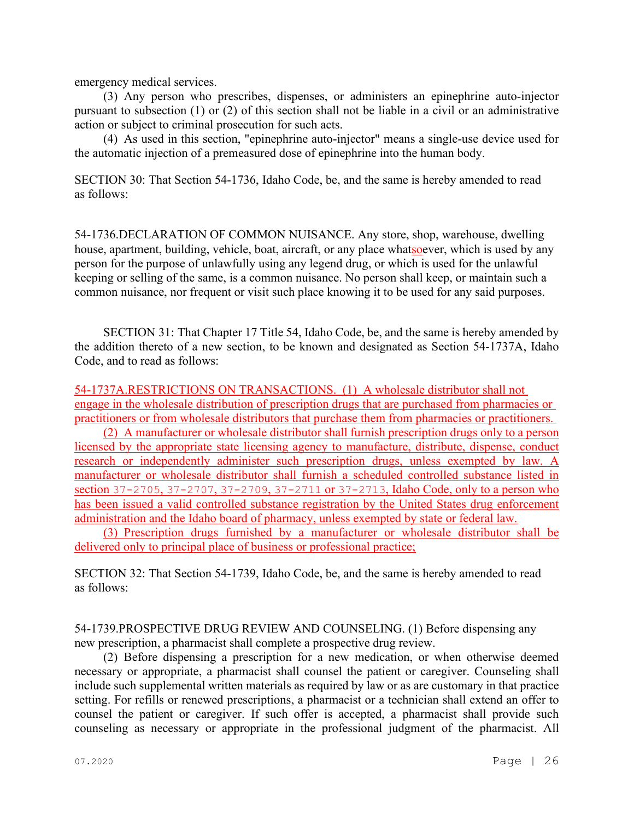emergency medical services.

(3) Any person who prescribes, dispenses, or administers an epinephrine auto-injector pursuant to subsection (1) or (2) of this section shall not be liable in a civil or an administrative action or subject to criminal prosecution for such acts.

(4) As used in this section, "epinephrine auto-injector" means a single-use device used for the automatic injection of a premeasured dose of epinephrine into the human body.

SECTION 30: That Section 54-1736, Idaho Code, be, and the same is hereby amended to read as follows:

54-1736.DECLARATION OF COMMON NUISANCE. Any store, shop, warehouse, dwelling house, apartment, building, vehicle, boat, aircraft, or any place whatsoever, which is used by any person for the purpose of unlawfully using any legend drug, or which is used for the unlawful keeping or selling of the same, is a common nuisance. No person shall keep, or maintain such a common nuisance, nor frequent or visit such place knowing it to be used for any said purposes.

SECTION 31: That Chapter 17 Title 54, Idaho Code, be, and the same is hereby amended by the addition thereto of a new section, to be known and designated as Section 54-1737A, Idaho Code, and to read as follows:

54-1737A.RESTRICTIONS ON TRANSACTIONS. (1) A wholesale distributor shall not engage in the wholesale distribution of prescription drugs that are purchased from pharmacies or practitioners or from wholesale distributors that purchase them from pharmacies or practitioners.

(2) A manufacturer or wholesale distributor shall furnish prescription drugs only to a person licensed by the appropriate state licensing agency to manufacture, distribute, dispense, conduct research or independently administer such prescription drugs, unless exempted by law. A manufacturer or wholesale distributor shall furnish a scheduled controlled substance listed in section [37-2705](file://admiodine/statutesrules/idstat/Title37/T37CH27/SECT37-2705), [37-2707](file://admiodine/statutesrules/idstat/Title37/T37CH27/SECT37-2707), [37-2709](file://admiodine/statutesrules/idstat/Title37/T37CH27/SECT37-2709), [37-2711](file://admiodine/statutesrules/idstat/Title37/T37CH27/SECT37-2711) or [37-2713](file://admiodine/statutesrules/idstat/Title37/T37CH27/SECT37-2713), Idaho Code, only to a person who has been issued a valid controlled substance registration by the United States drug enforcement administration and the Idaho board of pharmacy, unless exempted by state or federal law.

(3) Prescription drugs furnished by a manufacturer or wholesale distributor shall be delivered only to principal place of business or professional practice;

SECTION 32: That Section 54-1739, Idaho Code, be, and the same is hereby amended to read as follows:

54-1739.PROSPECTIVE DRUG REVIEW AND COUNSELING. (1) Before dispensing any new prescription, a pharmacist shall complete a prospective drug review.

(2) Before dispensing a prescription for a new medication, or when otherwise deemed necessary or appropriate, a pharmacist shall counsel the patient or caregiver. Counseling shall include such supplemental written materials as required by law or as are customary in that practice setting. For refills or renewed prescriptions, a pharmacist or a technician shall extend an offer to counsel the patient or caregiver. If such offer is accepted, a pharmacist shall provide such counseling as necessary or appropriate in the professional judgment of the pharmacist. All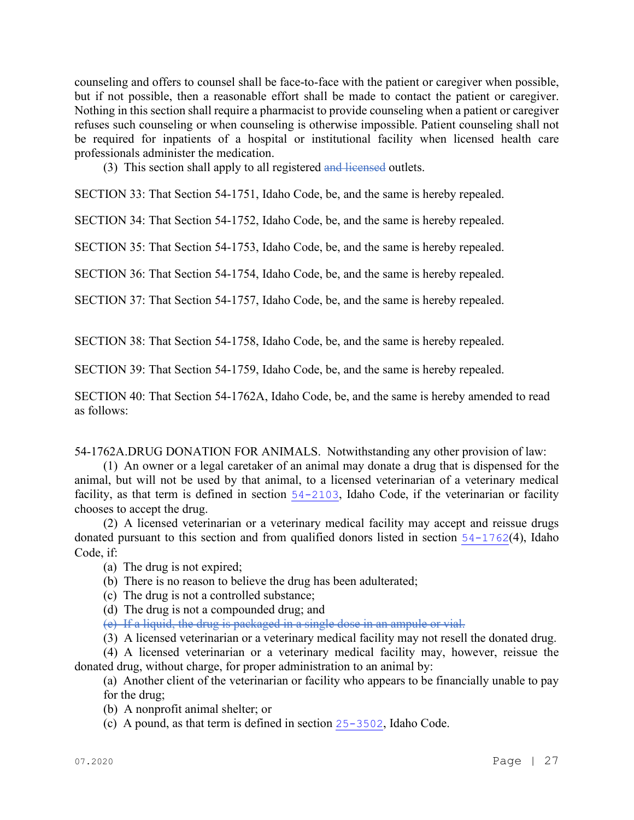counseling and offers to counsel shall be face-to-face with the patient or caregiver when possible, but if not possible, then a reasonable effort shall be made to contact the patient or caregiver. Nothing in this section shall require a pharmacist to provide counseling when a patient or caregiver refuses such counseling or when counseling is otherwise impossible. Patient counseling shall not be required for inpatients of a hospital or institutional facility when licensed health care professionals administer the medication.

(3) This section shall apply to all registered and licensed outlets.

SECTION 33: That Section 54-1751, Idaho Code, be, and the same is hereby repealed.

SECTION 34: That Section 54-1752, Idaho Code, be, and the same is hereby repealed.

SECTION 35: That Section 54-1753, Idaho Code, be, and the same is hereby repealed.

SECTION 36: That Section 54-1754, Idaho Code, be, and the same is hereby repealed.

SECTION 37: That Section 54-1757, Idaho Code, be, and the same is hereby repealed.

SECTION 38: That Section 54-1758, Idaho Code, be, and the same is hereby repealed.

SECTION 39: That Section 54-1759, Idaho Code, be, and the same is hereby repealed.

SECTION 40: That Section 54-1762A, Idaho Code, be, and the same is hereby amended to read as follows:

54-1762A.DRUG DONATION FOR ANIMALS. Notwithstanding any other provision of law:

(1) An owner or a legal caretaker of an animal may donate a drug that is dispensed for the animal, but will not be used by that animal, to a licensed veterinarian of a veterinary medical facility, as that term is defined in section  $54-2103$ , Idaho Code, if the veterinarian or facility chooses to accept the drug.

(2) A licensed veterinarian or a veterinary medical facility may accept and reissue drugs donated pursuant to this section and from qualified donors listed in section  $54-1762(4)$  $54-1762(4)$ , Idaho Code, if:

(a) The drug is not expired;

(b) There is no reason to believe the drug has been adulterated;

- (c) The drug is not a controlled substance;
- (d) The drug is not a compounded drug; and

(e) If a liquid, the drug is packaged in a single dose in an ampule or vial.

(3) A licensed veterinarian or a veterinary medical facility may not resell the donated drug.

(4) A licensed veterinarian or a veterinary medical facility may, however, reissue the donated drug, without charge, for proper administration to an animal by:

(a) Another client of the veterinarian or facility who appears to be financially unable to pay for the drug;

(b) A nonprofit animal shelter; or

(c) A pound, as that term is defined in section [25-3502](file://admiodine/statutesrules/idstat/Title25/T25CH35/SECT25-3502), Idaho Code.